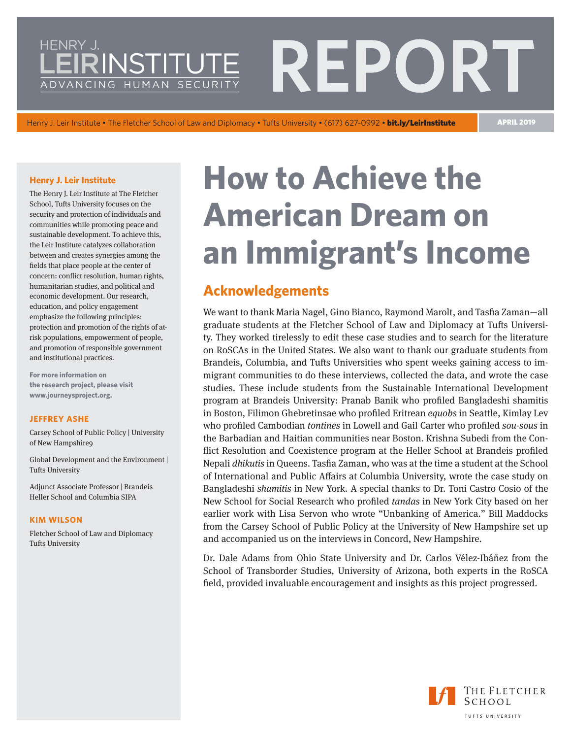# <span id="page-0-0"></span>HENRY J PORT RINSTITUTE ADVANCING HUMAN SECURIT

Henry J. Leir Institute • The Fletcher School of Law and Diplomacy • Tufts University • (617) 627-0992 • bit.ly/LeirInstitute APRIL 2019

#### **Henry J. Leir Institute**

The Henry J. Leir Institute at The Fletcher School, Tufts University focuses on the security and protection of individuals and communities while promoting peace and sustainable development. To achieve this, the Leir Institute catalyzes collaboration between and creates synergies among the fields that place people at the center of concern: conflict resolution, human rights, humanitarian studies, and political and economic development. Our research, education, and policy engagement emphasize the following principles: protection and promotion of the rights of atrisk populations, empowerment of people, and promotion of responsible government and institutional practices.

**For more information on the research project, please visit [www.journeysproject.org](http://www.journeysproject.org/).**

#### **JEFFREY ASHE**

Carsey School of Public Policy | University of New Hampshire9

Global Development and the Environment | Tufts University

Adjunct Associate Professor | Brandeis Heller School and Columbia SIPA

#### **KIM WILSON**

Fletcher School of Law and Diplomacy Tufts University

# **How to Achieve the American Dream on an Immigrant's Income**

# **Acknowledgements**

We want to thank Maria Nagel, Gino Bianco, Raymond Marolt, and Tasfia Zaman—all graduate students at the Fletcher School of Law and Diplomacy at Tufts University. They worked tirelessly to edit these case studies and to search for the literature on RoSCAs in the United States. We also want to thank our graduate students from Brandeis, Columbia, and Tufts Universities who spent weeks gaining access to immigrant communities to do these interviews, collected the data, and wrote the case studies. These include students from the Sustainable International Development program at Brandeis University: Pranab Banik who profiled Bangladeshi shamitis in Boston, Filimon Ghebretinsae who profiled Eritrean *equobs* in Seattle, Kimlay Lev who profiled Cambodian *tontines* in Lowell and Gail Carter who profiled *sou-sous* in the Barbadian and Haitian communities near Boston. Krishna Subedi from the Conflict Resolution and Coexistence program at the Heller School at Brandeis profiled Nepali *dhikutis* in Queens. Tasfia Zaman, who was at the time a student at the School of International and Public Affairs at Columbia University, wrote the case study on Bangladeshi *shamitis* in New York. A special thanks to Dr. Toni Castro Cosio of the New School for Social Research who profiled *tandas* in New York City based on her earlier work with Lisa Servon who wrote "Unbanking of America." Bill Maddocks from the Carsey School of Public Policy at the University of New Hampshire set up and accompanied us on the interviews in Concord, New Hampshire.

Dr. Dale Adams from Ohio State University and Dr. Carlos Vélez-Ibáñez from the School of Transborder Studies, University of Arizona, both experts in the RoSCA field, provided invaluable encouragement and insights as this project progressed.

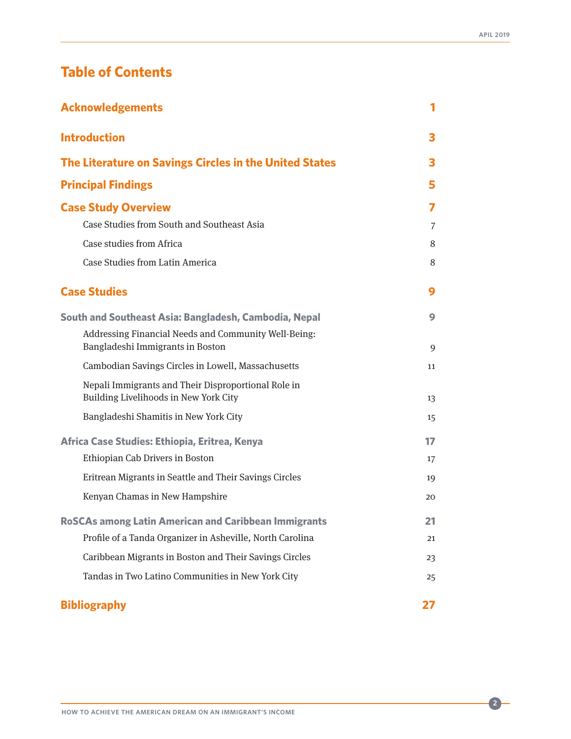# <span id="page-1-0"></span>**Table of Contents**

| <b>Acknowledgements</b>                                                                      | 1  |
|----------------------------------------------------------------------------------------------|----|
| <b>Introduction</b>                                                                          | 3  |
| The Literature on Savings Circles in the United States                                       | З  |
| <b>Principal Findings</b>                                                                    | 5  |
| <b>Case Study Overview</b>                                                                   | 7  |
| Case Studies from South and Southeast Asia                                                   | 7  |
| Case studies from Africa                                                                     | 8  |
| Case Studies from Latin America                                                              | 8  |
| <b>Case Studies</b>                                                                          | 9  |
| South and Southeast Asia: Bangladesh, Cambodia, Nepal                                        | 9  |
| Addressing Financial Needs and Community Well-Being:<br>Bangladeshi Immigrants in Boston     | 9  |
| Cambodian Savings Circles in Lowell, Massachusetts                                           | 11 |
| Nepali Immigrants and Their Disproportional Role in<br>Building Livelihoods in New York City | 13 |
| Bangladeshi Shamitis in New York City                                                        | 15 |
| Africa Case Studies: Ethiopia, Eritrea, Kenya                                                | 17 |
| Ethiopian Cab Drivers in Boston                                                              | 17 |
| Eritrean Migrants in Seattle and Their Savings Circles                                       | 19 |
| Kenyan Chamas in New Hampshire                                                               | 20 |
| <b>RoSCAs among Latin American and Caribbean Immigrants</b>                                  | 21 |
| Profile of a Tanda Organizer in Asheville, North Carolina                                    | 21 |
| Caribbean Migrants in Boston and Their Savings Circles                                       | 23 |
| Tandas in Two Latino Communities in New York City                                            | 25 |
| <b>Bibliography</b>                                                                          | 27 |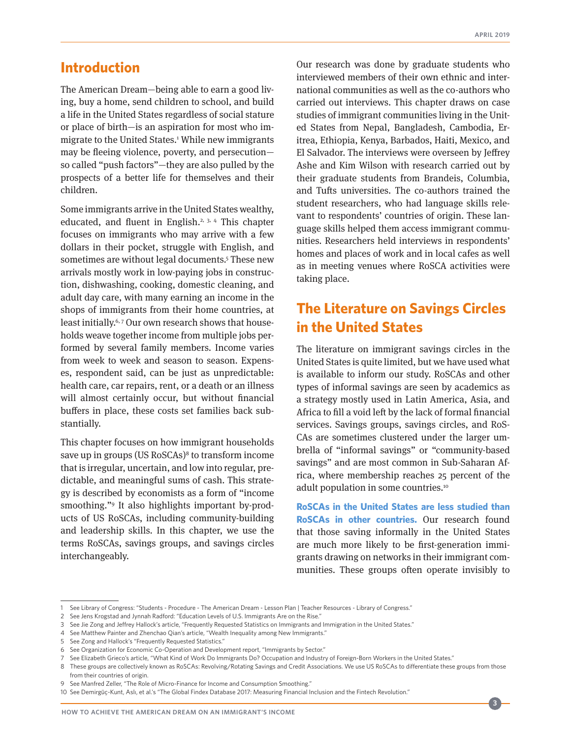# <span id="page-2-0"></span>**[Introduction](#page-1-0)**

The American Dream—being able to earn a good living, buy a home, send children to school, and build a life in the United States regardless of social stature or place of birth—is an aspiration for most who immigrate to the United States.1 While new immigrants may be fleeing violence, poverty, and persecution so called "push factors"—they are also pulled by the prospects of a better life for themselves and their children.

Some immigrants arrive in the United States wealthy, educated, and fluent in English.<sup>2, 3, 4</sup> This chapter focuses on immigrants who may arrive with a few dollars in their pocket, struggle with English, and sometimes are without legal documents.<sup>5</sup> These new arrivals mostly work in low-paying jobs in construction, dishwashing, cooking, domestic cleaning, and adult day care, with many earning an income in the shops of immigrants from their home countries, at least initially.<sup>6,7</sup> Our own research shows that households weave together income from multiple jobs performed by several family members. Income varies from week to week and season to season. Expenses, respondent said, can be just as unpredictable: health care, car repairs, rent, or a death or an illness will almost certainly occur, but without financial buffers in place, these costs set families back substantially.

This chapter focuses on how immigrant households save up in groups (US RoSCAs)<sup>8</sup> to transform income that is irregular, uncertain, and low into regular, predictable, and meaningful sums of cash. This strategy is described by economists as a form of "income smoothing."9 It also highlights important by-products of US RoSCAs, including community-building and leadership skills. In this chapter, we use the terms RoSCAs, savings groups, and savings circles interchangeably.

Our research was done by graduate students who interviewed members of their own ethnic and international communities as well as the co-authors who carried out interviews. This chapter draws on case studies of immigrant communities living in the United States from Nepal, Bangladesh, Cambodia, Eritrea, Ethiopia, Kenya, Barbados, Haiti, Mexico, and El Salvador. The interviews were overseen by Jeffrey Ashe and Kim Wilson with research carried out by their graduate students from Brandeis, Columbia, and Tufts universities. The co-authors trained the student researchers, who had language skills relevant to respondents' countries of origin. These language skills helped them access immigrant communities. Researchers held interviews in respondents' homes and places of work and in local cafes as well as in meeting venues where RoSCA activities were taking place.

# **[The Literature on Savings Circles](#page-1-0)  [in the United States](#page-1-0)**

The literature on immigrant savings circles in the United States is quite limited, but we have used what is available to inform our study. RoSCAs and other types of informal savings are seen by academics as a strategy mostly used in Latin America, Asia, and Africa to fill a void left by the lack of formal financial services. Savings groups, savings circles, and RoS-CAs are sometimes clustered under the larger umbrella of "informal savings" or "community-based savings" and are most common in Sub-Saharan Africa, where membership reaches 25 percent of the adult population in some countries.<sup>10</sup>

**RoSCAs in the United States are less studied than RoSCAs in other countries.** Our research found that those saving informally in the United States are much more likely to be first-generation immigrants drawing on networks in their immigrant communities. These groups often operate invisibly to

<sup>1</sup> See Library of Congress: "Students - Procedure - The American Dream - Lesson Plan | Teacher Resources - Library of Congress."

<sup>2</sup> See Jens Krogstad and Jynnah Radford: "Education Levels of U.S. Immigrants Are on the Rise."

<sup>3</sup> See Jie Zong and Jeffrey Hallock's article, "Frequently Requested Statistics on Immigrants and Immigration in the United States."

<sup>4</sup> See Matthew Painter and Zhenchao Qian's article, "Wealth Inequality among New Immigrants."

<sup>5</sup> See Zong and Hallock's "Frequently Requested Statistics."

<sup>6</sup> See Organization for Economic Co-Operation and Development report, "Immigrants by Sector."

<sup>7</sup> See Elizabeth Grieco's article, "What Kind of Work Do Immigrants Do? Occupation and Industry of Foreign-Born Workers in the United States."

<sup>8</sup> These groups are collectively known as RoSCAs: Revolving/Rotating Savings and Credit Associations. We use US RoSCAs to differentiate these groups from those from their countries of origin.

<sup>9</sup> See Manfred Zeller, "The Role of Micro-Finance for Income and Consumption Smoothing."

<sup>10</sup> See Demirgüç-Kunt, Aslı, et al.'s "The Global Findex Database 2017: Measuring Financial Inclusion and the Fintech Revolution."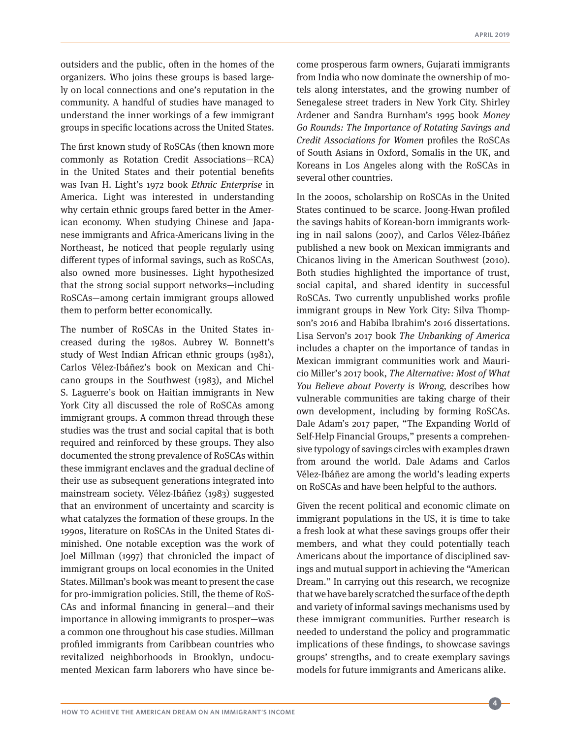outsiders and the public, often in the homes of the organizers. Who joins these groups is based largely on local connections and one's reputation in the community. A handful of studies have managed to understand the inner workings of a few immigrant groups in specific locations across the United States.

The first known study of RoSCAs (then known more commonly as Rotation Credit Associations—RCA) in the United States and their potential benefits was Ivan H. Light's 1972 book *Ethnic Enterprise* in America. Light was interested in understanding why certain ethnic groups fared better in the American economy. When studying Chinese and Japanese immigrants and Africa-Americans living in the Northeast, he noticed that people regularly using different types of informal savings, such as RoSCAs, also owned more businesses. Light hypothesized that the strong social support networks—including RoSCAs—among certain immigrant groups allowed them to perform better economically.

The number of RoSCAs in the United States increased during the 1980s. Aubrey W. Bonnett's study of West Indian African ethnic groups (1981), Carlos Vélez-Ibáñez's book on Mexican and Chicano groups in the Southwest (1983), and Michel S. Laguerre's book on Haitian immigrants in New York City all discussed the role of RoSCAs among immigrant groups. A common thread through these studies was the trust and social capital that is both required and reinforced by these groups. They also documented the strong prevalence of RoSCAs within these immigrant enclaves and the gradual decline of their use as subsequent generations integrated into mainstream society. Vélez-Ibáñez (1983) suggested that an environment of uncertainty and scarcity is what catalyzes the formation of these groups. In the 1990s, literature on RoSCAs in the United States diminished. One notable exception was the work of Joel Millman (1997) that chronicled the impact of immigrant groups on local economies in the United States. Millman's book was meant to present the case for pro-immigration policies. Still, the theme of RoS-CAs and informal financing in general—and their importance in allowing immigrants to prosper—was a common one throughout his case studies. Millman profiled immigrants from Caribbean countries who revitalized neighborhoods in Brooklyn, undocumented Mexican farm laborers who have since become prosperous farm owners, Gujarati immigrants from India who now dominate the ownership of motels along interstates, and the growing number of Senegalese street traders in New York City. Shirley Ardener and Sandra Burnham's 1995 book *Money Go Rounds: The Importance of Rotating Savings and Credit Associations for Women* profiles the RoSCAs of South Asians in Oxford, Somalis in the UK, and Koreans in Los Angeles along with the RoSCAs in several other countries.

In the 2000s, scholarship on RoSCAs in the United States continued to be scarce. Joong-Hwan profiled the savings habits of Korean-born immigrants working in nail salons (2007), and Carlos Vélez-Ibáñez published a new book on Mexican immigrants and Chicanos living in the American Southwest (2010). Both studies highlighted the importance of trust, social capital, and shared identity in successful RoSCAs. Two currently unpublished works profile immigrant groups in New York City: Silva Thompson's 2016 and Habiba Ibrahim's 2016 dissertations. Lisa Servon's 2017 book *The Unbanking of America*  includes a chapter on the importance of tandas in Mexican immigrant communities work and Mauricio Miller's 2017 book, *The Alternative: Most of What You Believe about Poverty is Wrong,* describes how vulnerable communities are taking charge of their own development, including by forming RoSCAs. Dale Adam's 2017 paper, "The Expanding World of Self-Help Financial Groups," presents a comprehensive typology of savings circles with examples drawn from around the world. Dale Adams and Carlos Vélez-Ibáñez are among the world's leading experts on RoSCAs and have been helpful to the authors.

Given the recent political and economic climate on immigrant populations in the US, it is time to take a fresh look at what these savings groups offer their members, and what they could potentially teach Americans about the importance of disciplined savings and mutual support in achieving the "American Dream." In carrying out this research, we recognize that we have barely scratched the surface of the depth and variety of informal savings mechanisms used by these immigrant communities. Further research is needed to understand the policy and programmatic implications of these findings, to showcase savings groups' strengths, and to create exemplary savings models for future immigrants and Americans alike.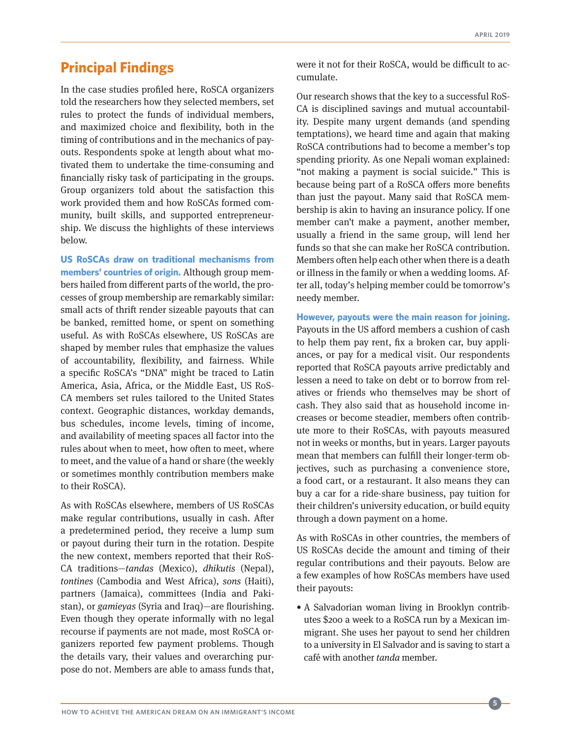# <span id="page-4-0"></span>**[Principal Findings](#page-1-0)**

In the case studies profiled here, RoSCA organizers told the researchers how they selected members, set rules to protect the funds of individual members, and maximized choice and flexibility, both in the timing of contributions and in the mechanics of payouts. Respondents spoke at length about what motivated them to undertake the time-consuming and financially risky task of participating in the groups. Group organizers told about the satisfaction this work provided them and how RoSCAs formed community, built skills, and supported entrepreneurship. We discuss the highlights of these interviews below.

**US RoSCAs draw on traditional mechanisms from members' countries of origin.** Although group members hailed from different parts of the world, the processes of group membership are remarkably similar: small acts of thrift render sizeable payouts that can be banked, remitted home, or spent on something useful. As with RoSCAs elsewhere, US RoSCAs are shaped by member rules that emphasize the values of accountability, flexibility, and fairness. While a specific RoSCA's "DNA" might be traced to Latin America, Asia, Africa, or the Middle East, US RoS-CA members set rules tailored to the United States context. Geographic distances, workday demands, bus schedules, income levels, timing of income, and availability of meeting spaces all factor into the rules about when to meet, how often to meet, where to meet, and the value of a hand or share (the weekly or sometimes monthly contribution members make to their RoSCA).

As with RoSCAs elsewhere, members of US RoSCAs make regular contributions, usually in cash. After a predetermined period, they receive a lump sum or payout during their turn in the rotation. Despite the new context, members reported that their RoS-CA traditions—*tandas* (Mexico), *dhikutis* (Nepal), *tontines* (Cambodia and West Africa), *sons* (Haiti), partners (Jamaica), committees (India and Pakistan), or *gamieyas* (Syria and Iraq)—are flourishing. Even though they operate informally with no legal recourse if payments are not made, most RoSCA organizers reported few payment problems. Though the details vary, their values and overarching purpose do not. Members are able to amass funds that,

were it not for their RoSCA, would be difficult to accumulate.

Our research shows that the key to a successful RoS-CA is disciplined savings and mutual accountability. Despite many urgent demands (and spending temptations), we heard time and again that making RoSCA contributions had to become a member's top spending priority. As one Nepali woman explained: "not making a payment is social suicide." This is because being part of a RoSCA offers more benefits than just the payout. Many said that RoSCA membership is akin to having an insurance policy. If one member can't make a payment, another member, usually a friend in the same group, will lend her funds so that she can make her RoSCA contribution. Members often help each other when there is a death or illness in the family or when a wedding looms. After all, today's helping member could be tomorrow's needy member.

**However, payouts were the main reason for joining.**  Payouts in the US afford members a cushion of cash to help them pay rent, fix a broken car, buy appliances, or pay for a medical visit. Our respondents reported that RoSCA payouts arrive predictably and lessen a need to take on debt or to borrow from relatives or friends who themselves may be short of cash. They also said that as household income increases or become steadier, members often contribute more to their RoSCAs, with payouts measured not in weeks or months, but in years. Larger payouts mean that members can fulfill their longer-term objectives, such as purchasing a convenience store, a food cart, or a restaurant. It also means they can buy a car for a ride-share business, pay tuition for their children's university education, or build equity through a down payment on a home.

As with RoSCAs in other countries, the members of US RoSCAs decide the amount and timing of their regular contributions and their payouts. Below are a few examples of how RoSCAs members have used their payouts:

• A Salvadorian woman living in Brooklyn contributes \$200 a week to a RoSCA run by a Mexican immigrant. She uses her payout to send her children to a university in El Salvador and is saving to start a café with another *tanda* member.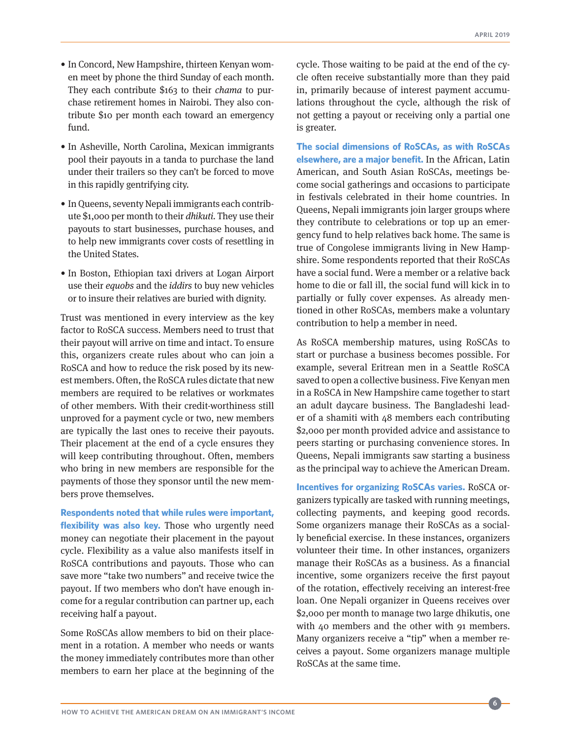- In Concord, New Hampshire, thirteen Kenyan women meet by phone the third Sunday of each month. They each contribute \$163 to their *chama* to purchase retirement homes in Nairobi. They also contribute \$10 per month each toward an emergency fund.
- In Asheville, North Carolina, Mexican immigrants pool their payouts in a tanda to purchase the land under their trailers so they can't be forced to move in this rapidly gentrifying city.
- In Queens, seventy Nepali immigrants each contribute \$1,000 per month to their *dhikuti.* They use their payouts to start businesses, purchase houses, and to help new immigrants cover costs of resettling in the United States.
- In Boston, Ethiopian taxi drivers at Logan Airport use their *equobs* and the *iddirs* to buy new vehicles or to insure their relatives are buried with dignity.

Trust was mentioned in every interview as the key factor to RoSCA success. Members need to trust that their payout will arrive on time and intact. To ensure this, organizers create rules about who can join a RoSCA and how to reduce the risk posed by its newest members. Often, the RoSCA rules dictate that new members are required to be relatives or workmates of other members. With their credit-worthiness still unproved for a payment cycle or two, new members are typically the last ones to receive their payouts. Their placement at the end of a cycle ensures they will keep contributing throughout. Often, members who bring in new members are responsible for the payments of those they sponsor until the new members prove themselves.

**Respondents noted that while rules were important, flexibility was also key.** Those who urgently need money can negotiate their placement in the payout cycle. Flexibility as a value also manifests itself in RoSCA contributions and payouts. Those who can save more "take two numbers" and receive twice the payout. If two members who don't have enough income for a regular contribution can partner up, each receiving half a payout.

Some RoSCAs allow members to bid on their placement in a rotation. A member who needs or wants the money immediately contributes more than other members to earn her place at the beginning of the cycle. Those waiting to be paid at the end of the cycle often receive substantially more than they paid in, primarily because of interest payment accumulations throughout the cycle, although the risk of not getting a payout or receiving only a partial one is greater.

**The social dimensions of RoSCAs, as with RoSCAs elsewhere, are a major benefit.** In the African, Latin American, and South Asian RoSCAs, meetings become social gatherings and occasions to participate in festivals celebrated in their home countries. In Queens, Nepali immigrants join larger groups where they contribute to celebrations or top up an emergency fund to help relatives back home. The same is true of Congolese immigrants living in New Hampshire. Some respondents reported that their RoSCAs have a social fund. Were a member or a relative back home to die or fall ill, the social fund will kick in to partially or fully cover expenses. As already mentioned in other RoSCAs, members make a voluntary contribution to help a member in need.

As RoSCA membership matures, using RoSCAs to start or purchase a business becomes possible. For example, several Eritrean men in a Seattle RoSCA saved to open a collective business. Five Kenyan men in a RoSCA in New Hampshire came together to start an adult daycare business. The Bangladeshi leader of a shamiti with 48 members each contributing \$2,000 per month provided advice and assistance to peers starting or purchasing convenience stores. In Queens, Nepali immigrants saw starting a business as the principal way to achieve the American Dream.

**Incentives for organizing RoSCAs varies.** RoSCA organizers typically are tasked with running meetings, collecting payments, and keeping good records. Some organizers manage their RoSCAs as a socially beneficial exercise. In these instances, organizers volunteer their time. In other instances, organizers manage their RoSCAs as a business. As a financial incentive, some organizers receive the first payout of the rotation, effectively receiving an interest-free loan. One Nepali organizer in Queens receives over \$2,000 per month to manage two large dhikutis, one with 40 members and the other with 91 members. Many organizers receive a "tip" when a member receives a payout. Some organizers manage multiple RoSCAs at the same time.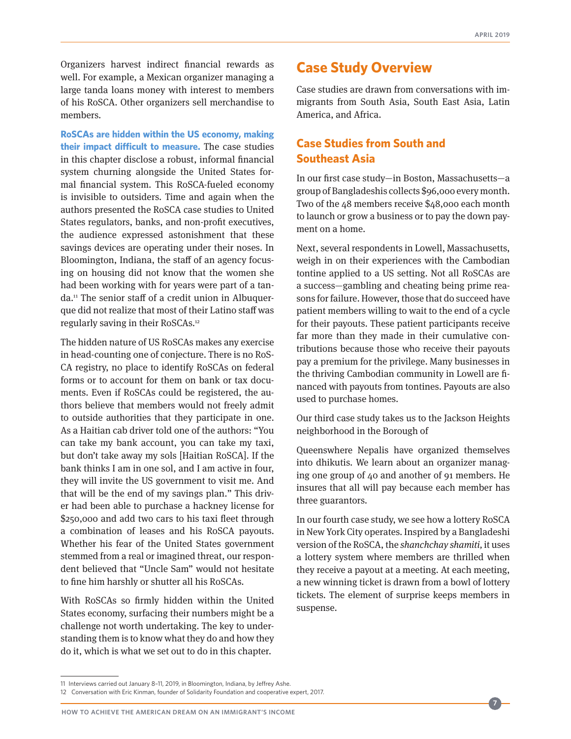<span id="page-6-0"></span>Organizers harvest indirect financial rewards as well. For example, a Mexican organizer managing a large tanda loans money with interest to members of his RoSCA. Other organizers sell merchandise to members.

**RoSCAs are hidden within the US economy, making their impact difficult to measure.** The case studies in this chapter disclose a robust, informal financial system churning alongside the United States formal financial system. This RoSCA-fueled economy is invisible to outsiders. Time and again when the authors presented the RoSCA case studies to United States regulators, banks, and non-profit executives, the audience expressed astonishment that these savings devices are operating under their noses. In Bloomington, Indiana, the staff of an agency focusing on housing did not know that the women she had been working with for years were part of a tanda.11 The senior staff of a credit union in Albuquerque did not realize that most of their Latino staff was regularly saving in their RoSCAs.12

The hidden nature of US RoSCAs makes any exercise in head-counting one of conjecture. There is no RoS-CA registry, no place to identify RoSCAs on federal forms or to account for them on bank or tax documents. Even if RoSCAs could be registered, the authors believe that members would not freely admit to outside authorities that they participate in one. As a Haitian cab driver told one of the authors: "You can take my bank account, you can take my taxi, but don't take away my sols [Haitian RoSCA]. If the bank thinks I am in one sol, and I am active in four, they will invite the US government to visit me. And that will be the end of my savings plan." This driver had been able to purchase a hackney license for \$250,000 and add two cars to his taxi fleet through a combination of leases and his RoSCA payouts. Whether his fear of the United States government stemmed from a real or imagined threat, our respondent believed that "Uncle Sam" would not hesitate to fine him harshly or shutter all his RoSCAs.

With RoSCAs so firmly hidden within the United States economy, surfacing their numbers might be a challenge not worth undertaking. The key to understanding them is to know what they do and how they do it, which is what we set out to do in this chapter.

# **[Case Study Overview](#page-1-0)**

Case studies are drawn from conversations with immigrants from South Asia, South East Asia, Latin America, and Africa.

# **[Case Studies from South and](#page-1-0)  [Southeast Asia](#page-1-0)**

In our first case study—in Boston, Massachusetts—a group of Bangladeshis collects \$96,000 every month. Two of the 48 members receive \$48,000 each month to launch or grow a business or to pay the down payment on a home.

Next, several respondents in Lowell, Massachusetts, weigh in on their experiences with the Cambodian tontine applied to a US setting. Not all RoSCAs are a success—gambling and cheating being prime reasons for failure. However, those that do succeed have patient members willing to wait to the end of a cycle for their payouts. These patient participants receive far more than they made in their cumulative contributions because those who receive their payouts pay a premium for the privilege. Many businesses in the thriving Cambodian community in Lowell are financed with payouts from tontines. Payouts are also used to purchase homes.

Our third case study takes us to the Jackson Heights neighborhood in the Borough of

Queenswhere Nepalis have organized themselves into dhikutis. We learn about an organizer managing one group of 40 and another of 91 members. He insures that all will pay because each member has three guarantors.

In our fourth case study, we see how a lottery RoSCA in New York City operates. Inspired by a Bangladeshi version of the RoSCA, the *shanchchay shamiti,* it uses a lottery system where members are thrilled when they receive a payout at a meeting. At each meeting, a new winning ticket is drawn from a bowl of lottery tickets. The element of surprise keeps members in suspense.

<sup>11</sup> Interviews carried out January 8–11, 2019, in Bloomington, Indiana, by Jeffrey Ashe.

<sup>12</sup> Conversation with Eric Kinman, founder of Solidarity Foundation and cooperative expert, 2017.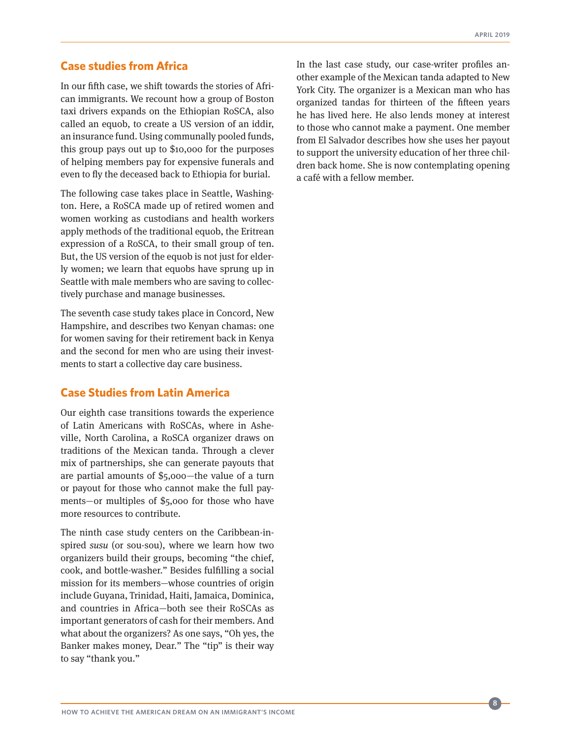# <span id="page-7-0"></span>**[Case studies from Africa](#page-1-0)**

In our fifth case, we shift towards the stories of African immigrants. We recount how a group of Boston taxi drivers expands on the Ethiopian RoSCA, also called an equob, to create a US version of an iddir, an insurance fund. Using communally pooled funds, this group pays out up to \$10,000 for the purposes of helping members pay for expensive funerals and even to fly the deceased back to Ethiopia for burial.

The following case takes place in Seattle, Washington. Here, a RoSCA made up of retired women and women working as custodians and health workers apply methods of the traditional equob, the Eritrean expression of a RoSCA, to their small group of ten. But, the US version of the equob is not just for elderly women; we learn that equobs have sprung up in Seattle with male members who are saving to collectively purchase and manage businesses.

The seventh case study takes place in Concord, New Hampshire, and describes two Kenyan chamas: one for women saving for their retirement back in Kenya and the second for men who are using their investments to start a collective day care business.

# **[Case Studies from Latin America](#page-1-0)**

Our eighth case transitions towards the experience of Latin Americans with RoSCAs, where in Asheville, North Carolina, a RoSCA organizer draws on traditions of the Mexican tanda. Through a clever mix of partnerships, she can generate payouts that are partial amounts of \$5,000—the value of a turn or payout for those who cannot make the full payments—or multiples of \$5,000 for those who have more resources to contribute.

The ninth case study centers on the Caribbean-inspired *susu* (or sou-sou), where we learn how two organizers build their groups, becoming "the chief, cook, and bottle-washer." Besides fulfilling a social mission for its members—whose countries of origin include Guyana, Trinidad, Haiti, Jamaica, Dominica, and countries in Africa—both see their RoSCAs as important generators of cash for their members. And what about the organizers? As one says, "Oh yes, the Banker makes money, Dear." The "tip" is their way to say "thank you."

In the last case study, our case-writer profiles another example of the Mexican tanda adapted to New York City. The organizer is a Mexican man who has organized tandas for thirteen of the fifteen years he has lived here. He also lends money at interest to those who cannot make a payment. One member from El Salvador describes how she uses her payout to support the university education of her three children back home. She is now contemplating opening a café with a fellow member.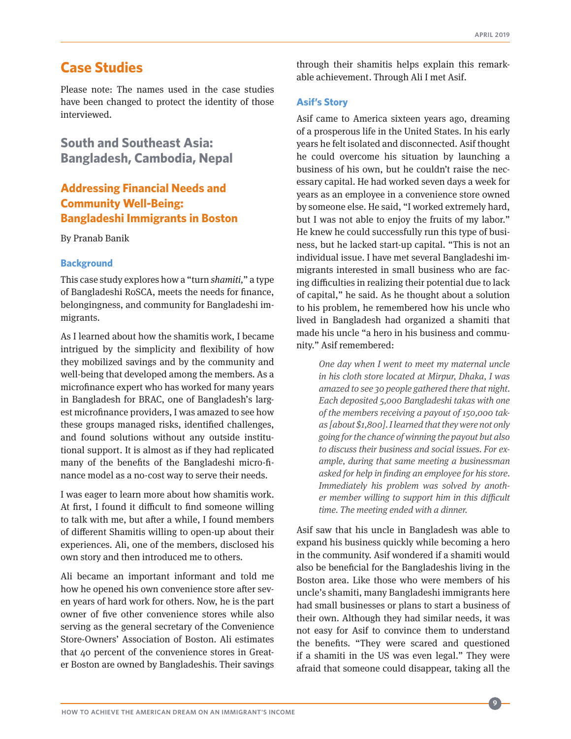# <span id="page-8-0"></span>**[Case Studies](#page-1-0)**

Please note: The names used in the case studies have been changed to protect the identity of those interviewed.

**[South and Southeast Asia:](#page-1-0)  [Bangladesh, Cambodia, Nepal](#page-1-0)**

# **[Addressing Financial Needs and](#page-1-0)  [Community Well-Being:](#page-1-0)  [Bangladeshi Immigrants in Boston](#page-1-0)**

By Pranab Banik

#### **Background**

This case study explores how a "turn *shamiti,*" a type of Bangladeshi RoSCA, meets the needs for finance, belongingness, and community for Bangladeshi immigrants.

As I learned about how the shamitis work, I became intrigued by the simplicity and flexibility of how they mobilized savings and by the community and well-being that developed among the members. As a microfinance expert who has worked for many years in Bangladesh for BRAC, one of Bangladesh's largest microfinance providers, I was amazed to see how these groups managed risks, identified challenges, and found solutions without any outside institutional support. It is almost as if they had replicated many of the benefits of the Bangladeshi micro-finance model as a no-cost way to serve their needs.

I was eager to learn more about how shamitis work. At first, I found it difficult to find someone willing to talk with me, but after a while, I found members of different Shamitis willing to open-up about their experiences. Ali, one of the members, disclosed his own story and then introduced me to others.

Ali became an important informant and told me how he opened his own convenience store after seven years of hard work for others. Now, he is the part owner of five other convenience stores while also serving as the general secretary of the Convenience Store-Owners' Association of Boston. Ali estimates that 40 percent of the convenience stores in Greater Boston are owned by Bangladeshis. Their savings

through their shamitis helps explain this remarkable achievement. Through Ali I met Asif.

## **Asif's Story**

Asif came to America sixteen years ago, dreaming of a prosperous life in the United States. In his early years he felt isolated and disconnected. Asif thought he could overcome his situation by launching a business of his own, but he couldn't raise the necessary capital. He had worked seven days a week for years as an employee in a convenience store owned by someone else. He said, "I worked extremely hard, but I was not able to enjoy the fruits of my labor." He knew he could successfully run this type of business, but he lacked start-up capital. "This is not an individual issue. I have met several Bangladeshi immigrants interested in small business who are facing difficulties in realizing their potential due to lack of capital," he said. As he thought about a solution to his problem, he remembered how his uncle who lived in Bangladesh had organized a shamiti that made his uncle "a hero in his business and community." Asif remembered:

> *One day when I went to meet my maternal uncle in his cloth store located at Mirpur, Dhaka, I was amazed to see 30 people gathered there that night. Each deposited 5,000 Bangladeshi takas with one of the members receiving a payout of 150,000 takas [about \$1,800]. I learned that they were not only going for the chance of winning the payout but also to discuss their business and social issues. For example, during that same meeting a businessman asked for help in finding an employee for his store. Immediately his problem was solved by another member willing to support him in this difficult time. The meeting ended with a dinner.*

Asif saw that his uncle in Bangladesh was able to expand his business quickly while becoming a hero in the community. Asif wondered if a shamiti would also be beneficial for the Bangladeshis living in the Boston area. Like those who were members of his uncle's shamiti, many Bangladeshi immigrants here had small businesses or plans to start a business of their own. Although they had similar needs, it was not easy for Asif to convince them to understand the benefits. "They were scared and questioned if a shamiti in the US was even legal." They were afraid that someone could disappear, taking all the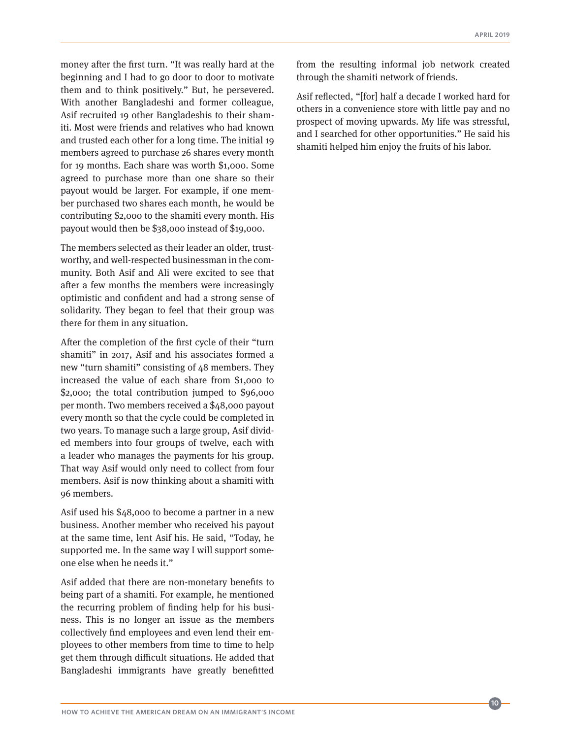money after the first turn. "It was really hard at the beginning and I had to go door to door to motivate them and to think positively." But, he persevered. With another Bangladeshi and former colleague, Asif recruited 19 other Bangladeshis to their shamiti. Most were friends and relatives who had known and trusted each other for a long time. The initial 19 members agreed to purchase 26 shares every month for 19 months. Each share was worth \$1,000. Some agreed to purchase more than one share so their payout would be larger. For example, if one member purchased two shares each month, he would be contributing \$2,000 to the shamiti every month. His payout would then be \$38,000 instead of \$19,000.

The members selected as their leader an older, trustworthy, and well-respected businessman in the community. Both Asif and Ali were excited to see that after a few months the members were increasingly optimistic and confident and had a strong sense of solidarity. They began to feel that their group was there for them in any situation.

After the completion of the first cycle of their "turn shamiti" in 2017, Asif and his associates formed a new "turn shamiti" consisting of 48 members. They increased the value of each share from \$1,000 to \$2,000; the total contribution jumped to \$96,000 per month. Two members received a \$48,000 payout every month so that the cycle could be completed in two years. To manage such a large group, Asif divided members into four groups of twelve, each with a leader who manages the payments for his group. That way Asif would only need to collect from four members. Asif is now thinking about a shamiti with 96 members.

Asif used his \$48,000 to become a partner in a new business. Another member who received his payout at the same time, lent Asif his. He said, "Today, he supported me. In the same way I will support someone else when he needs it."

Asif added that there are non-monetary benefits to being part of a shamiti. For example, he mentioned the recurring problem of finding help for his business. This is no longer an issue as the members collectively find employees and even lend their employees to other members from time to time to help get them through difficult situations. He added that Bangladeshi immigrants have greatly benefitted

from the resulting informal job network created through the shamiti network of friends.

Asif reflected, "[for] half a decade I worked hard for others in a convenience store with little pay and no prospect of moving upwards. My life was stressful, and I searched for other opportunities." He said his shamiti helped him enjoy the fruits of his labor.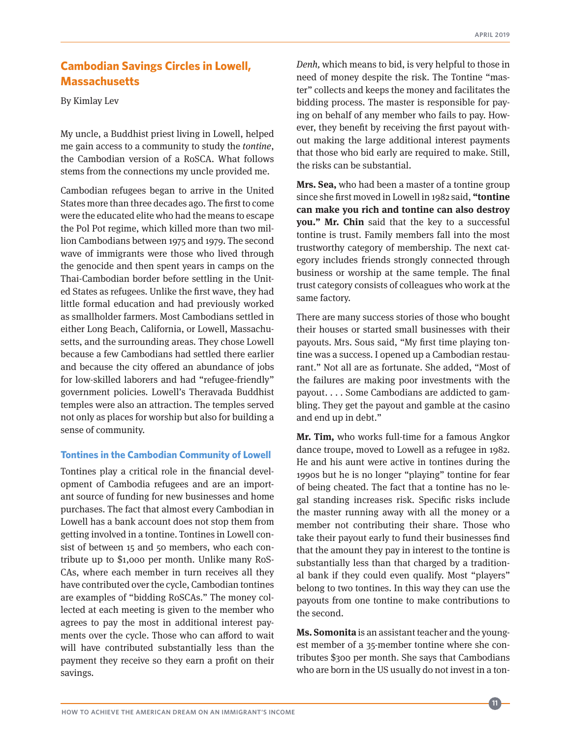# <span id="page-10-0"></span>**[Cambodian Savings Circles in Lowell,](#page-1-0)  [Massachusetts](#page-1-0)**

By Kimlay Lev

My uncle, a Buddhist priest living in Lowell, helped me gain access to a community to study the *tontine*, the Cambodian version of a RoSCA. What follows stems from the connections my uncle provided me.

Cambodian refugees began to arrive in the United States more than three decades ago. The first to come were the educated elite who had the means to escape the Pol Pot regime, which killed more than two million Cambodians between 1975 and 1979. The second wave of immigrants were those who lived through the genocide and then spent years in camps on the Thai-Cambodian border before settling in the United States as refugees. Unlike the first wave, they had little formal education and had previously worked as smallholder farmers. Most Cambodians settled in either Long Beach, California, or Lowell, Massachusetts, and the surrounding areas. They chose Lowell because a few Cambodians had settled there earlier and because the city offered an abundance of jobs for low-skilled laborers and had "refugee-friendly" government policies. Lowell's Theravada Buddhist temples were also an attraction. The temples served not only as places for worship but also for building a sense of community.

## **Tontines in the Cambodian Community of Lowell**

Tontines play a critical role in the financial development of Cambodia refugees and are an important source of funding for new businesses and home purchases. The fact that almost every Cambodian in Lowell has a bank account does not stop them from getting involved in a tontine. Tontines in Lowell consist of between 15 and 50 members, who each contribute up to \$1,000 per month. Unlike many RoS-CAs, where each member in turn receives all they have contributed over the cycle, Cambodian tontines are examples of "bidding RoSCAs." The money collected at each meeting is given to the member who agrees to pay the most in additional interest payments over the cycle. Those who can afford to wait will have contributed substantially less than the payment they receive so they earn a profit on their savings.

*Denh,* which means to bid, is very helpful to those in need of money despite the risk. The Tontine "master" collects and keeps the money and facilitates the bidding process. The master is responsible for paying on behalf of any member who fails to pay. However, they benefit by receiving the first payout without making the large additional interest payments that those who bid early are required to make. Still, the risks can be substantial.

**Mrs. Sea,** who had been a master of a tontine group since she first moved in Lowell in 1982 said, **"tontine can make you rich and tontine can also destroy you." Mr. Chin** said that the key to a successful tontine is trust. Family members fall into the most trustworthy category of membership. The next category includes friends strongly connected through business or worship at the same temple. The final trust category consists of colleagues who work at the same factory.

There are many success stories of those who bought their houses or started small businesses with their payouts. Mrs. Sous said, "My first time playing tontine was a success. I opened up a Cambodian restaurant." Not all are as fortunate. She added, "Most of the failures are making poor investments with the payout. . . . Some Cambodians are addicted to gambling. They get the payout and gamble at the casino and end up in debt."

**Mr. Tim,** who works full-time for a famous Angkor dance troupe, moved to Lowell as a refugee in 1982. He and his aunt were active in tontines during the 1990s but he is no longer "playing" tontine for fear of being cheated. The fact that a tontine has no legal standing increases risk. Specific risks include the master running away with all the money or a member not contributing their share. Those who take their payout early to fund their businesses find that the amount they pay in interest to the tontine is substantially less than that charged by a traditional bank if they could even qualify. Most "players" belong to two tontines. In this way they can use the payouts from one tontine to make contributions to the second.

**Ms. Somonita** is an assistant teacher and the youngest member of a 35-member tontine where she contributes \$300 per month. She says that Cambodians who are born in the US usually do not invest in a ton-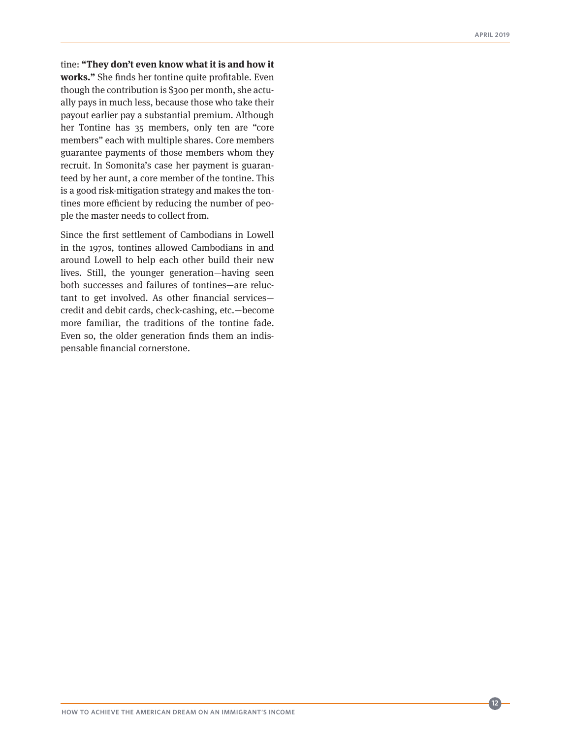tine: **"They don't even know what it is and how it works."** She finds her tontine quite profitable. Even though the contribution is \$300 per month, she actually pays in much less, because those who take their payout earlier pay a substantial premium. Although her Tontine has 35 members, only ten are "core members" each with multiple shares. Core members guarantee payments of those members whom they recruit. In Somonita's case her payment is guaranteed by her aunt, a core member of the tontine. This is a good risk-mitigation strategy and makes the tontines more efficient by reducing the number of people the master needs to collect from.

Since the first settlement of Cambodians in Lowell in the 1970s, tontines allowed Cambodians in and around Lowell to help each other build their new lives. Still, the younger generation—having seen both successes and failures of tontines—are reluctant to get involved. As other financial services credit and debit cards, check-cashing, etc.—become more familiar, the traditions of the tontine fade. Even so, the older generation finds them an indispensable financial cornerstone.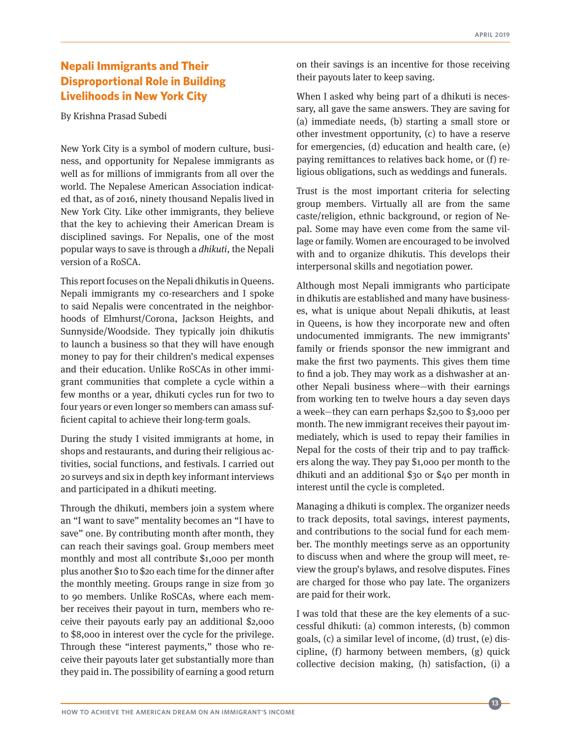# <span id="page-12-0"></span>**[Nepali Immigrants and Their](#page-1-0)  [Disproportional Role in Building](#page-1-0)  [Livelihoods in New York City](#page-1-0)**

By Krishna Prasad Subedi

New York City is a symbol of modern culture, business, and opportunity for Nepalese immigrants as well as for millions of immigrants from all over the world. The Nepalese American Association indicated that, as of 2016, ninety thousand Nepalis lived in New York City. Like other immigrants, they believe that the key to achieving their American Dream is disciplined savings. For Nepalis, one of the most popular ways to save is through a *dhikuti*, the Nepali version of a RoSCA.

This report focuses on the Nepali dhikutis in Queens. Nepali immigrants my co-researchers and I spoke to said Nepalis were concentrated in the neighborhoods of Elmhurst/Corona, Jackson Heights, and Sunnyside/Woodside. They typically join dhikutis to launch a business so that they will have enough money to pay for their children's medical expenses and their education. Unlike RoSCAs in other immigrant communities that complete a cycle within a few months or a year, dhikuti cycles run for two to four years or even longer so members can amass sufficient capital to achieve their long-term goals.

During the study I visited immigrants at home, in shops and restaurants, and during their religious activities, social functions, and festivals. I carried out 20 surveys and six in depth key informant interviews and participated in a dhikuti meeting.

Through the dhikuti, members join a system where an "I want to save" mentality becomes an "I have to save" one. By contributing month after month, they can reach their savings goal. Group members meet monthly and most all contribute \$1,000 per month plus another \$10 to \$20 each time for the dinner after the monthly meeting. Groups range in size from 30 to 90 members. Unlike RoSCAs, where each member receives their payout in turn, members who receive their payouts early pay an additional \$2,000 to \$8,000 in interest over the cycle for the privilege. Through these "interest payments," those who receive their payouts later get substantially more than they paid in. The possibility of earning a good return

on their savings is an incentive for those receiving their payouts later to keep saving.

When I asked why being part of a dhikuti is necessary, all gave the same answers. They are saving for (a) immediate needs, (b) starting a small store or other investment opportunity, (c) to have a reserve for emergencies, (d) education and health care, (e) paying remittances to relatives back home, or (f) religious obligations, such as weddings and funerals.

Trust is the most important criteria for selecting group members. Virtually all are from the same caste/religion, ethnic background, or region of Nepal. Some may have even come from the same village or family. Women are encouraged to be involved with and to organize dhikutis. This develops their interpersonal skills and negotiation power.

Although most Nepali immigrants who participate in dhikutis are established and many have businesses, what is unique about Nepali dhikutis, at least in Queens, is how they incorporate new and often undocumented immigrants. The new immigrants' family or friends sponsor the new immigrant and make the first two payments. This gives them time to find a job. They may work as a dishwasher at another Nepali business where—with their earnings from working ten to twelve hours a day seven days a week—they can earn perhaps \$2,500 to \$3,000 per month. The new immigrant receives their payout immediately, which is used to repay their families in Nepal for the costs of their trip and to pay traffickers along the way. They pay \$1,000 per month to the dhikuti and an additional \$30 or \$40 per month in interest until the cycle is completed.

Managing a dhikuti is complex. The organizer needs to track deposits, total savings, interest payments, and contributions to the social fund for each member. The monthly meetings serve as an opportunity to discuss when and where the group will meet, review the group's bylaws, and resolve disputes. Fines are charged for those who pay late. The organizers are paid for their work.

I was told that these are the key elements of a successful dhikuti: (a) common interests, (b) common goals, (c) a similar level of income, (d) trust, (e) discipline, (f) harmony between members, (g) quick collective decision making, (h) satisfaction, (i) a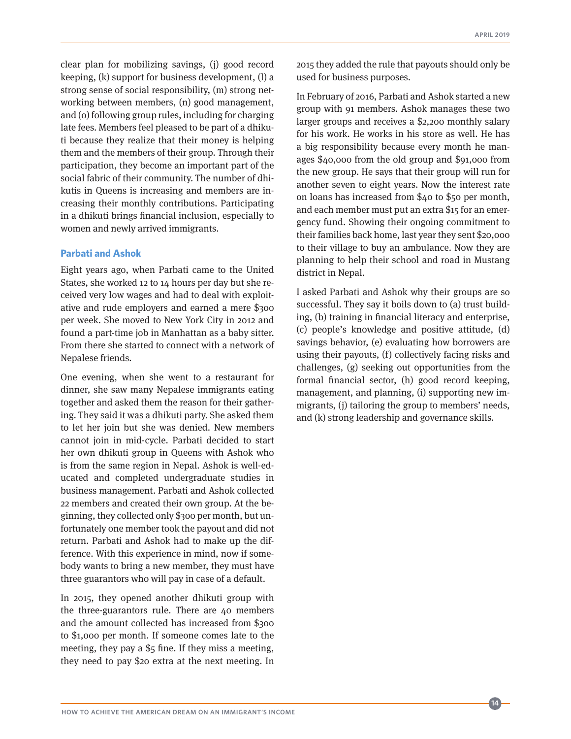clear plan for mobilizing savings, (j) good record keeping, (k) support for business development, (l) a strong sense of social responsibility, (m) strong networking between members, (n) good management, and (o) following group rules, including for charging late fees. Members feel pleased to be part of a dhikuti because they realize that their money is helping them and the members of their group. Through their participation, they become an important part of the social fabric of their community. The number of dhikutis in Queens is increasing and members are increasing their monthly contributions. Participating in a dhikuti brings financial inclusion, especially to women and newly arrived immigrants.

#### **Parbati and Ashok**

Eight years ago, when Parbati came to the United States, she worked 12 to 14 hours per day but she received very low wages and had to deal with exploitative and rude employers and earned a mere \$300 per week. She moved to New York City in 2012 and found a part-time job in Manhattan as a baby sitter. From there she started to connect with a network of Nepalese friends.

One evening, when she went to a restaurant for dinner, she saw many Nepalese immigrants eating together and asked them the reason for their gathering. They said it was a dhikuti party. She asked them to let her join but she was denied. New members cannot join in mid-cycle. Parbati decided to start her own dhikuti group in Queens with Ashok who is from the same region in Nepal. Ashok is well-educated and completed undergraduate studies in business management. Parbati and Ashok collected 22 members and created their own group. At the beginning, they collected only \$300 per month, but unfortunately one member took the payout and did not return. Parbati and Ashok had to make up the difference. With this experience in mind, now if somebody wants to bring a new member, they must have three guarantors who will pay in case of a default.

In 2015, they opened another dhikuti group with the three-guarantors rule. There are 40 members and the amount collected has increased from \$300 to \$1,000 per month. If someone comes late to the meeting, they pay a \$5 fine. If they miss a meeting, they need to pay \$20 extra at the next meeting. In 2015 they added the rule that payouts should only be used for business purposes.

In February of 2016, Parbati and Ashok started a new group with 91 members. Ashok manages these two larger groups and receives a \$2,200 monthly salary for his work. He works in his store as well. He has a big responsibility because every month he manages \$40,000 from the old group and \$91,000 from the new group. He says that their group will run for another seven to eight years. Now the interest rate on loans has increased from \$40 to \$50 per month, and each member must put an extra \$15 for an emergency fund. Showing their ongoing commitment to their families back home, last year they sent \$20,000 to their village to buy an ambulance. Now they are planning to help their school and road in Mustang district in Nepal.

I asked Parbati and Ashok why their groups are so successful. They say it boils down to (a) trust building, (b) training in financial literacy and enterprise, (c) people's knowledge and positive attitude, (d) savings behavior, (e) evaluating how borrowers are using their payouts, (f) collectively facing risks and challenges, (g) seeking out opportunities from the formal financial sector, (h) good record keeping, management, and planning, (i) supporting new immigrants, (j) tailoring the group to members' needs, and (k) strong leadership and governance skills.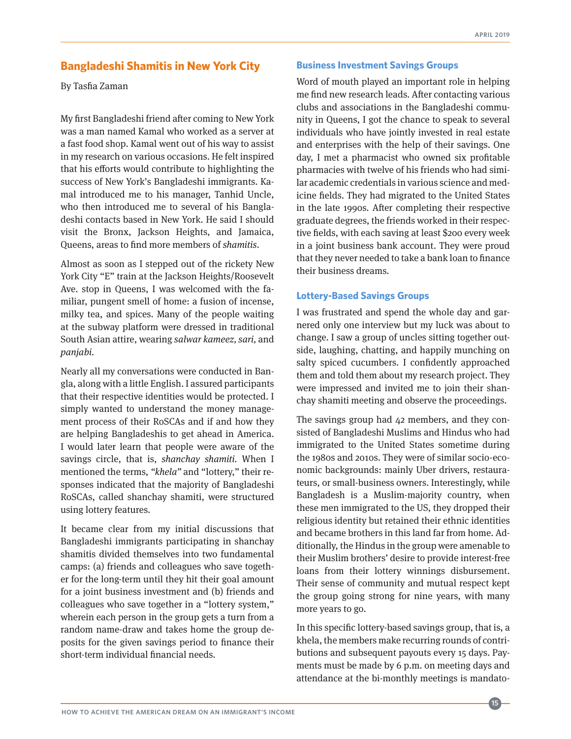# <span id="page-14-0"></span>**[Bangladeshi Shamitis in New York City](#page-1-0)**

By Tasfia Zaman

My first Bangladeshi friend after coming to New York was a man named Kamal who worked as a server at a fast food shop. Kamal went out of his way to assist in my research on various occasions. He felt inspired that his efforts would contribute to highlighting the success of New York's Bangladeshi immigrants. Kamal introduced me to his manager, Tanhid Uncle, who then introduced me to several of his Bangladeshi contacts based in New York. He said I should visit the Bronx, Jackson Heights, and Jamaica, Queens, areas to find more members of *shamitis*.

Almost as soon as I stepped out of the rickety New York City "E" train at the Jackson Heights/Roosevelt Ave. stop in Queens, I was welcomed with the familiar, pungent smell of home: a fusion of incense, milky tea, and spices. Many of the people waiting at the subway platform were dressed in traditional South Asian attire, wearing *salwar kameez, sari,* and *panjabi.* 

Nearly all my conversations were conducted in Bangla, along with a little English. I assured participants that their respective identities would be protected. I simply wanted to understand the money management process of their RoSCAs and if and how they are helping Bangladeshis to get ahead in America. I would later learn that people were aware of the savings circle, that is, *shanchay shamiti.* When I mentioned the terms, *"khela"* and "lottery," their responses indicated that the majority of Bangladeshi RoSCAs, called shanchay shamiti, were structured using lottery features.

It became clear from my initial discussions that Bangladeshi immigrants participating in shanchay shamitis divided themselves into two fundamental camps: (a) friends and colleagues who save together for the long-term until they hit their goal amount for a joint business investment and (b) friends and colleagues who save together in a "lottery system," wherein each person in the group gets a turn from a random name-draw and takes home the group deposits for the given savings period to finance their short-term individual financial needs.

#### **Business Investment Savings Groups**

Word of mouth played an important role in helping me find new research leads. After contacting various clubs and associations in the Bangladeshi community in Queens, I got the chance to speak to several individuals who have jointly invested in real estate and enterprises with the help of their savings. One day, I met a pharmacist who owned six profitable pharmacies with twelve of his friends who had similar academic credentials in various science and medicine fields. They had migrated to the United States in the late 1990s. After completing their respective graduate degrees, the friends worked in their respective fields, with each saving at least \$200 every week in a joint business bank account. They were proud that they never needed to take a bank loan to finance their business dreams.

#### **Lottery-Based Savings Groups**

I was frustrated and spend the whole day and garnered only one interview but my luck was about to change. I saw a group of uncles sitting together outside, laughing, chatting, and happily munching on salty spiced cucumbers. I confidently approached them and told them about my research project. They were impressed and invited me to join their shanchay shamiti meeting and observe the proceedings.

The savings group had 42 members, and they consisted of Bangladeshi Muslims and Hindus who had immigrated to the United States sometime during the 1980s and 2010s. They were of similar socio-economic backgrounds: mainly Uber drivers, restaurateurs, or small-business owners. Interestingly, while Bangladesh is a Muslim-majority country, when these men immigrated to the US, they dropped their religious identity but retained their ethnic identities and became brothers in this land far from home. Additionally, the Hindus in the group were amenable to their Muslim brothers' desire to provide interest-free loans from their lottery winnings disbursement. Their sense of community and mutual respect kept the group going strong for nine years, with many more years to go.

In this specific lottery-based savings group, that is, a khela, the members make recurring rounds of contributions and subsequent payouts every 15 days. Payments must be made by 6 p.m. on meeting days and attendance at the bi-monthly meetings is mandato-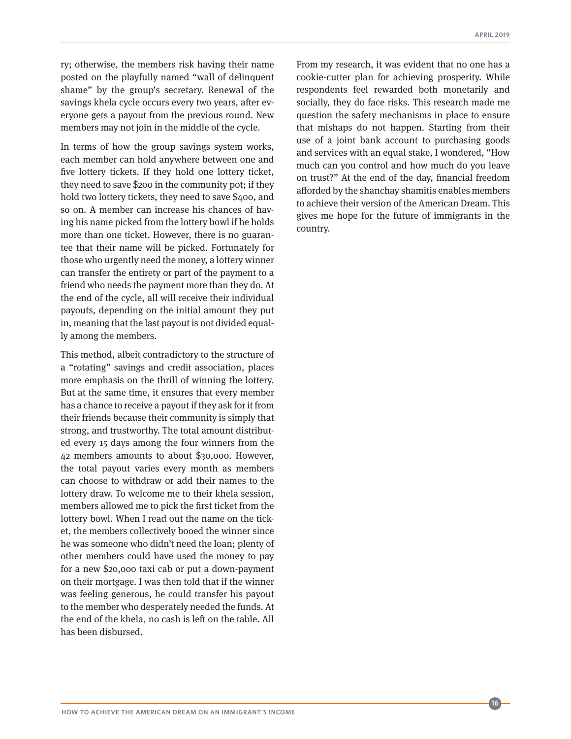ry; otherwise, the members risk having their name posted on the playfully named "wall of delinquent shame" by the group's secretary. Renewal of the savings khela cycle occurs every two years, after everyone gets a payout from the previous round. New members may not join in the middle of the cycle.

In terms of how the group savings system works, each member can hold anywhere between one and five lottery tickets. If they hold one lottery ticket, they need to save \$200 in the community pot; if they hold two lottery tickets, they need to save \$400, and so on. A member can increase his chances of having his name picked from the lottery bowl if he holds more than one ticket. However, there is no guarantee that their name will be picked. Fortunately for those who urgently need the money, a lottery winner can transfer the entirety or part of the payment to a friend who needs the payment more than they do. At the end of the cycle, all will receive their individual payouts, depending on the initial amount they put in, meaning that the last payout is not divided equally among the members.

This method, albeit contradictory to the structure of a "rotating" savings and credit association, places more emphasis on the thrill of winning the lottery. But at the same time, it ensures that every member has a chance to receive a payout if they ask for it from their friends because their community is simply that strong, and trustworthy. The total amount distributed every 15 days among the four winners from the 42 members amounts to about \$30,000. However, the total payout varies every month as members can choose to withdraw or add their names to the lottery draw. To welcome me to their khela session, members allowed me to pick the first ticket from the lottery bowl. When I read out the name on the ticket, the members collectively booed the winner since he was someone who didn't need the loan; plenty of other members could have used the money to pay for a new \$20,000 taxi cab or put a down-payment on their mortgage. I was then told that if the winner was feeling generous, he could transfer his payout to the member who desperately needed the funds. At the end of the khela, no cash is left on the table. All has been disbursed.

From my research, it was evident that no one has a cookie-cutter plan for achieving prosperity. While respondents feel rewarded both monetarily and socially, they do face risks. This research made me question the safety mechanisms in place to ensure that mishaps do not happen. Starting from their use of a joint bank account to purchasing goods and services with an equal stake, I wondered, "How much can you control and how much do you leave on trust?" At the end of the day, financial freedom afforded by the shanchay shamitis enables members to achieve their version of the American Dream. This gives me hope for the future of immigrants in the country.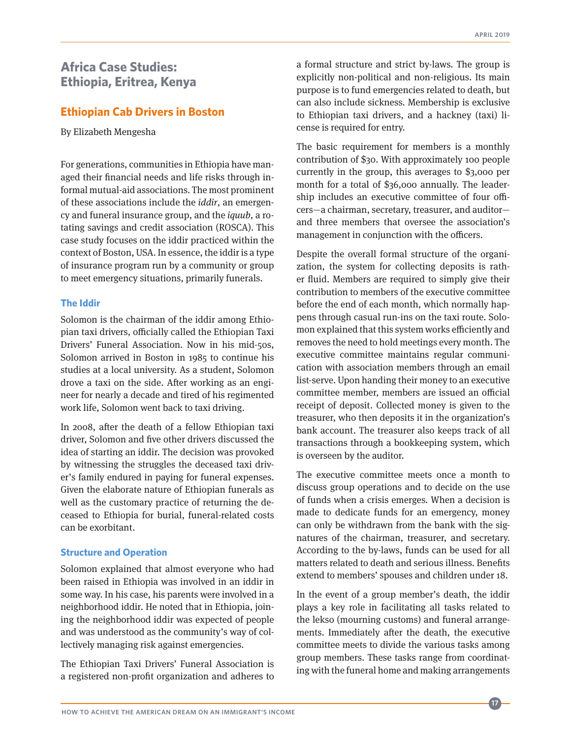# <span id="page-16-0"></span>**[Africa Case Studies:](#page-1-0)  [Ethiopia, Eritrea, Kenya](#page-1-0)**

# **[Ethiopian Cab Drivers in Boston](#page-1-0)**

By Elizabeth Mengesha

For generations, communities in Ethiopia have managed their financial needs and life risks through informal mutual-aid associations. The most prominent of these associations include the *iddir*, an emergency and funeral insurance group, and the *iquub*, a rotating savings and credit association (ROSCA). This case study focuses on the iddir practiced within the context of Boston, USA. In essence, the iddir is a type of insurance program run by a community or group to meet emergency situations, primarily funerals.

#### **The Iddir**

Solomon is the chairman of the iddir among Ethiopian taxi drivers, officially called the Ethiopian Taxi Drivers' Funeral Association. Now in his mid-50s, Solomon arrived in Boston in 1985 to continue his studies at a local university. As a student, Solomon drove a taxi on the side. After working as an engineer for nearly a decade and tired of his regimented work life, Solomon went back to taxi driving.

In 2008, after the death of a fellow Ethiopian taxi driver, Solomon and five other drivers discussed the idea of starting an iddir. The decision was provoked by witnessing the struggles the deceased taxi driver's family endured in paying for funeral expenses. Given the elaborate nature of Ethiopian funerals as well as the customary practice of returning the deceased to Ethiopia for burial, funeral-related costs can be exorbitant.

## **Structure and Operation**

Solomon explained that almost everyone who had been raised in Ethiopia was involved in an iddir in some way. In his case, his parents were involved in a neighborhood iddir. He noted that in Ethiopia, joining the neighborhood iddir was expected of people and was understood as the community's way of collectively managing risk against emergencies.

The Ethiopian Taxi Drivers' Funeral Association is a registered non-profit organization and adheres to

a formal structure and strict by-laws. The group is explicitly non-political and non-religious. Its main purpose is to fund emergencies related to death, but can also include sickness. Membership is exclusive to Ethiopian taxi drivers, and a hackney (taxi) license is required for entry.

The basic requirement for members is a monthly contribution of \$30. With approximately 100 people currently in the group, this averages to \$3,000 per month for a total of \$36,000 annually. The leadership includes an executive committee of four officers—a chairman, secretary, treasurer, and auditor and three members that oversee the association's management in conjunction with the officers.

Despite the overall formal structure of the organization, the system for collecting deposits is rather fluid. Members are required to simply give their contribution to members of the executive committee before the end of each month, which normally happens through casual run-ins on the taxi route. Solomon explained that this system works efficiently and removes the need to hold meetings every month. The executive committee maintains regular communication with association members through an email list-serve. Upon handing their money to an executive committee member, members are issued an official receipt of deposit. Collected money is given to the treasurer, who then deposits it in the organization's bank account. The treasurer also keeps track of all transactions through a bookkeeping system, which is overseen by the auditor.

The executive committee meets once a month to discuss group operations and to decide on the use of funds when a crisis emerges. When a decision is made to dedicate funds for an emergency, money can only be withdrawn from the bank with the signatures of the chairman, treasurer, and secretary. According to the by-laws, funds can be used for all matters related to death and serious illness. Benefits extend to members' spouses and children under 18.

In the event of a group member's death, the iddir plays a key role in facilitating all tasks related to the lekso (mourning customs) and funeral arrangements. Immediately after the death, the executive committee meets to divide the various tasks among group members. These tasks range from coordinating with the funeral home and making arrangements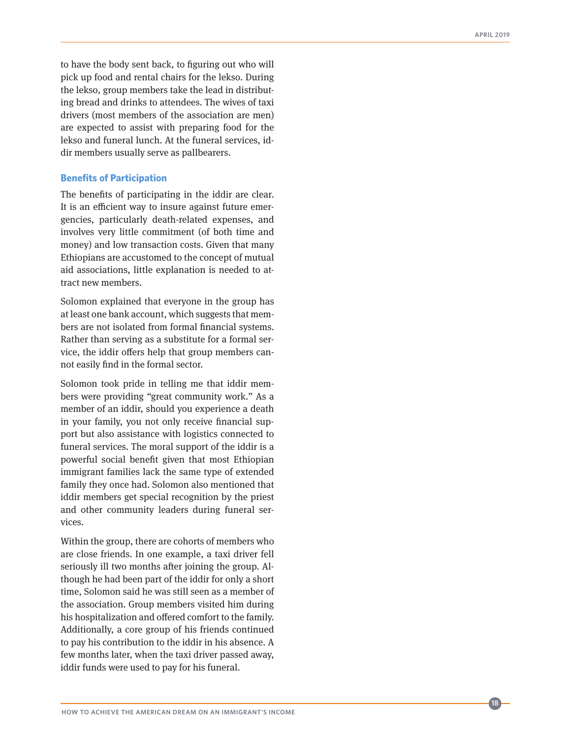to have the body sent back, to figuring out who will pick up food and rental chairs for the lekso. During the lekso, group members take the lead in distribut ing bread and drinks to attendees. The wives of taxi drivers (most members of the association are men) are expected to assist with preparing food for the lekso and funeral lunch. At the funeral services, id dir members usually serve as pallbearers.

#### **Benefits of Participation**

The benefits of participating in the iddir are clear. It is an efficient way to insure against future emer gencies, particularly death-related expenses, and involves very little commitment (of both time and money) and low transaction costs. Given that many Ethiopians are accustomed to the concept of mutual aid associations, little explanation is needed to at tract new members.

Solomon explained that everyone in the group has at least one bank account, which suggests that mem bers are not isolated from formal financial systems. Rather than serving as a substitute for a formal ser vice, the iddir offers help that group members can not easily find in the formal sector.

Solomon took pride in telling me that iddir mem bers were providing "great community work." As a member of an iddir, should you experience a death in your family, you not only receive financial sup port but also assistance with logistics connected to funeral services. The moral support of the iddir is a powerful social benefit given that most Ethiopian immigrant families lack the same type of extended family they once had. Solomon also mentioned that iddir members get special recognition by the priest and other community leaders during funeral ser vices.

Within the group, there are cohorts of members who are close friends. In one example, a taxi driver fell seriously ill two months after joining the group. Al though he had been part of the iddir for only a short time, Solomon said he was still seen as a member of the association. Group members visited him during his hospitalization and offered comfort to the family. Additionally, a core group of his friends continued to pay his contribution to the iddir in his absence. A few months later, when the taxi driver passed away, iddir funds were used to pay for his funeral.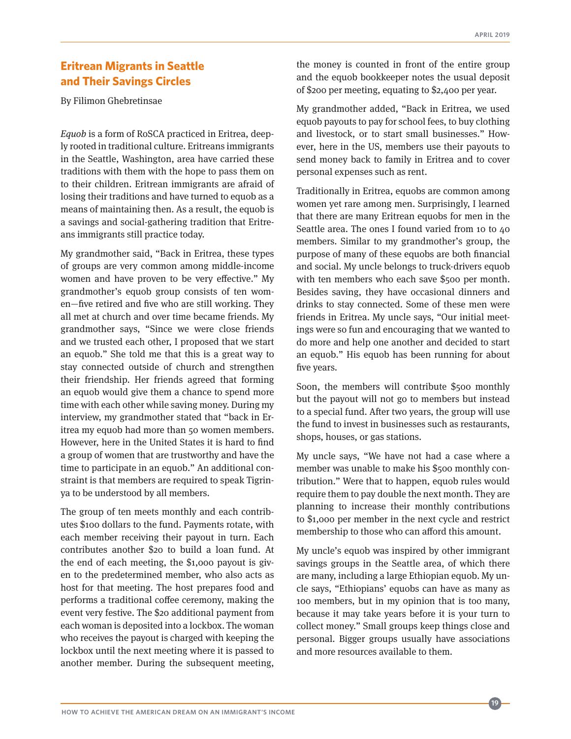# <span id="page-18-0"></span>**[Eritrean Migrants in Seattle](#page-1-0)  [and Their Savings Circles](#page-1-0)**

By Filimon Ghebretinsae

*Equob* is a form of RoSCA practiced in Eritrea, deeply rooted in traditional culture. Eritreans immigrants in the Seattle, Washington, area have carried these traditions with them with the hope to pass them on to their children. Eritrean immigrants are afraid of losing their traditions and have turned to equob as a means of maintaining then. As a result, the equob is a savings and social-gathering tradition that Eritreans immigrants still practice today.

My grandmother said, "Back in Eritrea, these types of groups are very common among middle-income women and have proven to be very effective." My grandmother's equob group consists of ten women—five retired and five who are still working. They all met at church and over time became friends. My grandmother says, "Since we were close friends and we trusted each other, I proposed that we start an equob." She told me that this is a great way to stay connected outside of church and strengthen their friendship. Her friends agreed that forming an equob would give them a chance to spend more time with each other while saving money. During my interview, my grandmother stated that "back in Eritrea my equob had more than 50 women members. However, here in the United States it is hard to find a group of women that are trustworthy and have the time to participate in an equob." An additional constraint is that members are required to speak Tigrinya to be understood by all members.

The group of ten meets monthly and each contributes \$100 dollars to the fund. Payments rotate, with each member receiving their payout in turn. Each contributes another \$20 to build a loan fund. At the end of each meeting, the \$1,000 payout is given to the predetermined member, who also acts as host for that meeting. The host prepares food and performs a traditional coffee ceremony, making the event very festive. The \$20 additional payment from each woman is deposited into a lockbox. The woman who receives the payout is charged with keeping the lockbox until the next meeting where it is passed to another member. During the subsequent meeting,

the money is counted in front of the entire group and the equob bookkeeper notes the usual deposit of \$200 per meeting, equating to \$2,400 per year.

My grandmother added, "Back in Eritrea, we used equob payouts to pay for school fees, to buy clothing and livestock, or to start small businesses." However, here in the US, members use their payouts to send money back to family in Eritrea and to cover personal expenses such as rent.

Traditionally in Eritrea, equobs are common among women yet rare among men. Surprisingly, I learned that there are many Eritrean equobs for men in the Seattle area. The ones I found varied from 10 to 40 members. Similar to my grandmother's group, the purpose of many of these equobs are both financial and social. My uncle belongs to truck-drivers equob with ten members who each save \$500 per month. Besides saving, they have occasional dinners and drinks to stay connected. Some of these men were friends in Eritrea. My uncle says, "Our initial meetings were so fun and encouraging that we wanted to do more and help one another and decided to start an equob." His equob has been running for about five years.

Soon, the members will contribute \$500 monthly but the payout will not go to members but instead to a special fund. After two years, the group will use the fund to invest in businesses such as restaurants, shops, houses, or gas stations.

My uncle says, "We have not had a case where a member was unable to make his \$500 monthly contribution." Were that to happen, equob rules would require them to pay double the next month. They are planning to increase their monthly contributions to \$1,000 per member in the next cycle and restrict membership to those who can afford this amount.

My uncle's equob was inspired by other immigrant savings groups in the Seattle area, of which there are many, including a large Ethiopian equob. My uncle says, "Ethiopians' equobs can have as many as 100 members, but in my opinion that is too many, because it may take years before it is your turn to collect money." Small groups keep things close and personal. Bigger groups usually have associations and more resources available to them.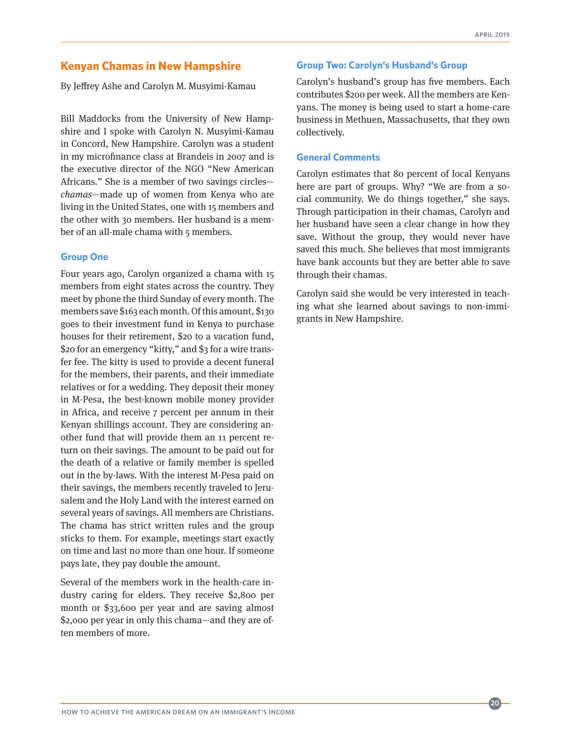## <span id="page-19-0"></span>**[Kenyan Chamas in New Hampshire](#page-1-0)**

By Jeffrey Ashe and Carolyn M. Musyimi-Kamau

Bill Maddocks from the University of New Hampshire and I spoke with Carolyn N. Musyimi-Kamau in Concord, New Hampshire. Carolyn was a student in my microfinance class at Brandeis in 2007 and is the executive director of the NGO "New American Africans." She is a member of two savings circles *chamas*—made up of women from Kenya who are living in the United States, one with 15 members and the other with 30 members. Her husband is a member of an all-male chama with 5 members.

#### **Group One**

Four years ago, Carolyn organized a chama with 15 members from eight states across the country. They meet by phone the third Sunday of every month. The members save \$163 each month. Of this amount, \$130 goes to their investment fund in Kenya to purchase houses for their retirement, \$20 to a vacation fund, \$20 for an emergency "kitty," and \$3 for a wire transfer fee. The kitty is used to provide a decent funeral for the members, their parents, and their immediate relatives or for a wedding. They deposit their money in M-Pesa, the best-known mobile money provider in Africa, and receive 7 percent per annum in their Kenyan shillings account. They are considering another fund that will provide them an 11 percent return on their savings. The amount to be paid out for the death of a relative or family member is spelled out in the by-laws. With the interest M-Pesa paid on their savings, the members recently traveled to Jerusalem and the Holy Land with the interest earned on several years of savings. All members are Christians. The chama has strict written rules and the group sticks to them. For example, meetings start exactly on time and last no more than one hour. If someone pays late, they pay double the amount.

Several of the members work in the health-care industry caring for elders. They receive \$2,800 per month or \$33,600 per year and are saving almost \$2,000 per year in only this chama—and they are often members of more.

## **Group Two: Carolyn's Husband's Group**

Carolyn's husband's group has five members. Each contributes \$200 per week. All the members are Kenyans. The money is being used to start a home-care business in Methuen, Massachusetts, that they own collectively.

#### **General Comments**

Carolyn estimates that 80 percent of local Kenyans here are part of groups. Why? "We are from a social community. We do things together," she says. Through participation in their chamas, Carolyn and her husband have seen a clear change in how they save. Without the group, they would never have saved this much. She believes that most immigrants have bank accounts but they are better able to save through their chamas.

Carolyn said she would be very interested in teaching what she learned about savings to non-immigrants in New Hampshire.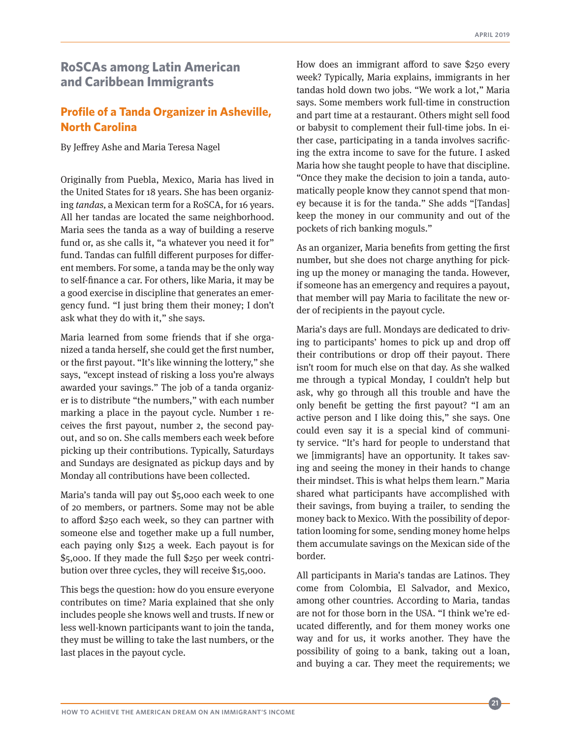# <span id="page-20-0"></span>**[RoSCAs among Latin American](#page-1-0)  [and Caribbean Immigrants](#page-1-0)**

# **[Profile of a Tanda Organizer in Asheville,](#page-1-0)  [North Carolina](#page-1-0)**

By Jeffrey Ashe and Maria Teresa Nagel

Originally from Puebla, Mexico, Maria has lived in the United States for 18 years. She has been organizing *tandas,* a Mexican term for a RoSCA, for 16 years. All her tandas are located the same neighborhood. Maria sees the tanda as a way of building a reserve fund or, as she calls it, "a whatever you need it for" fund. Tandas can fulfill different purposes for different members. For some, a tanda may be the only way to self-finance a car. For others, like Maria, it may be a good exercise in discipline that generates an emergency fund. "I just bring them their money; I don't ask what they do with it," she says.

Maria learned from some friends that if she organized a tanda herself, she could get the first number, or the first payout. "It's like winning the lottery," she says, "except instead of risking a loss you're always awarded your savings." The job of a tanda organizer is to distribute "the numbers," with each number marking a place in the payout cycle. Number 1 receives the first payout, number 2, the second payout, and so on. She calls members each week before picking up their contributions. Typically, Saturdays and Sundays are designated as pickup days and by Monday all contributions have been collected.

Maria's tanda will pay out \$5,000 each week to one of 20 members, or partners. Some may not be able to afford \$250 each week, so they can partner with someone else and together make up a full number, each paying only \$125 a week. Each payout is for \$5,000. If they made the full \$250 per week contribution over three cycles, they will receive \$15,000.

This begs the question: how do you ensure everyone contributes on time? Maria explained that she only includes people she knows well and trusts. If new or less well-known participants want to join the tanda, they must be willing to take the last numbers, or the last places in the payout cycle.

How does an immigrant afford to save \$250 every week? Typically, Maria explains, immigrants in her tandas hold down two jobs. "We work a lot," Maria says. Some members work full-time in construction and part time at a restaurant. Others might sell food or babysit to complement their full-time jobs. In either case, participating in a tanda involves sacrificing the extra income to save for the future. I asked Maria how she taught people to have that discipline. "Once they make the decision to join a tanda, automatically people know they cannot spend that money because it is for the tanda." She adds "[Tandas] keep the money in our community and out of the pockets of rich banking moguls."

As an organizer, Maria benefits from getting the first number, but she does not charge anything for picking up the money or managing the tanda. However, if someone has an emergency and requires a payout, that member will pay Maria to facilitate the new order of recipients in the payout cycle.

Maria's days are full. Mondays are dedicated to driving to participants' homes to pick up and drop off their contributions or drop off their payout. There isn't room for much else on that day. As she walked me through a typical Monday, I couldn't help but ask, why go through all this trouble and have the only benefit be getting the first payout? "I am an active person and I like doing this," she says. One could even say it is a special kind of community service. "It's hard for people to understand that we [immigrants] have an opportunity. It takes saving and seeing the money in their hands to change their mindset. This is what helps them learn." Maria shared what participants have accomplished with their savings, from buying a trailer, to sending the money back to Mexico. With the possibility of deportation looming for some, sending money home helps them accumulate savings on the Mexican side of the border.

All participants in Maria's tandas are Latinos. They come from Colombia, El Salvador, and Mexico, among other countries. According to Maria, tandas are not for those born in the USA. "I think we're educated differently, and for them money works one way and for us, it works another. They have the possibility of going to a bank, taking out a loan, and buying a car. They meet the requirements; we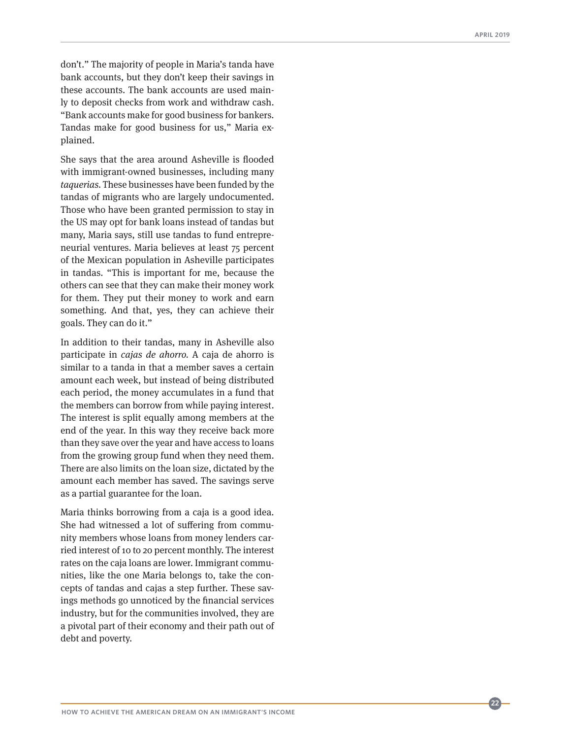don't." The majority of people in Maria's tanda have bank accounts, but they don't keep their savings in these accounts. The bank accounts are used main ly to deposit checks from work and withdraw cash. "Bank accounts make for good business for bankers. Tandas make for good business for us," Maria ex plained.

She says that the area around Asheville is flooded with immigrant-owned businesses, including many *taquerias.* These businesses have been funded by the tandas of migrants who are largely undocumented. Those who have been granted permission to stay in the US may opt for bank loans instead of tandas but many, Maria says, still use tandas to fund entrepre neurial ventures. Maria believes at least 75 percent of the Mexican population in Asheville participates in tandas. "This is important for me, because the others can see that they can make their money work for them. They put their money to work and earn something. And that, yes, they can achieve their goals. They can do it."

In addition to their tandas, many in Asheville also participate in *cajas de ahorro.* A caja de ahorro is similar to a tanda in that a member saves a certain amount each week, but instead of being distributed each period, the money accumulates in a fund that the members can borrow from while paying interest. The interest is split equally among members at the end of the year. In this way they receive back more than they save over the year and have access to loans from the growing group fund when they need them. There are also limits on the loan size, dictated by the amount each member has saved. The savings serve as a partial guarantee for the loan.

Maria thinks borrowing from a caja is a good idea. She had witnessed a lot of suffering from commu nity members whose loans from money lenders car ried interest of 10 to 20 percent monthly. The interest rates on the caja loans are lower. Immigrant commu nities, like the one Maria belongs to, take the con cepts of tandas and cajas a step further. These sav ings methods go unnoticed by the financial services industry, but for the communities involved, they are a pivotal part of their economy and their path out of debt and poverty.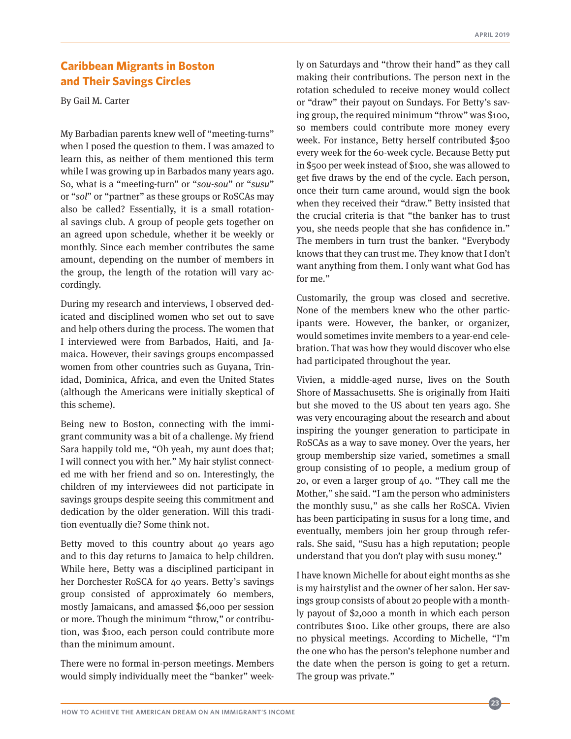# <span id="page-22-0"></span>**[Caribbean Migrants in Boston](#page-1-0)  [and Their Savings Circles](#page-1-0)**

By Gail M. Carter

My Barbadian parents knew well of "meeting-turns" when I posed the question to them. I was amazed to learn this, as neither of them mentioned this term while I was growing up in Barbados many years ago. So, what is a "meeting-turn" or "*sou-sou*" or "*susu*" or "*sol*" or "partner" as these groups or RoSCAs may also be called? Essentially, it is a small rotational savings club. A group of people gets together on an agreed upon schedule, whether it be weekly or monthly. Since each member contributes the same amount, depending on the number of members in the group, the length of the rotation will vary accordingly.

During my research and interviews, I observed dedicated and disciplined women who set out to save and help others during the process. The women that I interviewed were from Barbados, Haiti, and Jamaica. However, their savings groups encompassed women from other countries such as Guyana, Trinidad, Dominica, Africa, and even the United States (although the Americans were initially skeptical of this scheme).

Being new to Boston, connecting with the immigrant community was a bit of a challenge. My friend Sara happily told me, "Oh yeah, my aunt does that; I will connect you with her." My hair stylist connected me with her friend and so on. Interestingly, the children of my interviewees did not participate in savings groups despite seeing this commitment and dedication by the older generation. Will this tradition eventually die? Some think not.

Betty moved to this country about 40 years ago and to this day returns to Jamaica to help children. While here, Betty was a disciplined participant in her Dorchester RoSCA for 40 years. Betty's savings group consisted of approximately 60 members, mostly Jamaicans, and amassed \$6,000 per session or more. Though the minimum "throw," or contribution, was \$100, each person could contribute more than the minimum amount.

There were no formal in-person meetings. Members would simply individually meet the "banker" weekly on Saturdays and "throw their hand" as they call making their contributions. The person next in the rotation scheduled to receive money would collect or "draw" their payout on Sundays. For Betty's saving group, the required minimum "throw" was \$100, so members could contribute more money every week. For instance, Betty herself contributed \$500 every week for the 60-week cycle. Because Betty put in \$500 per week instead of \$100, she was allowed to get five draws by the end of the cycle. Each person, once their turn came around, would sign the book when they received their "draw." Betty insisted that the crucial criteria is that "the banker has to trust you, she needs people that she has confidence in." The members in turn trust the banker. "Everybody knows that they can trust me. They know that I don't want anything from them. I only want what God has for me."

Customarily, the group was closed and secretive. None of the members knew who the other participants were. However, the banker, or organizer, would sometimes invite members to a year-end celebration. That was how they would discover who else had participated throughout the year.

Vivien, a middle-aged nurse, lives on the South Shore of Massachusetts. She is originally from Haiti but she moved to the US about ten years ago. She was very encouraging about the research and about inspiring the younger generation to participate in RoSCAs as a way to save money. Over the years, her group membership size varied, sometimes a small group consisting of 10 people, a medium group of 20, or even a larger group of 40. "They call me the Mother," she said. "I am the person who administers the monthly susu," as she calls her RoSCA. Vivien has been participating in susus for a long time, and eventually, members join her group through referrals. She said, "Susu has a high reputation; people understand that you don't play with susu money."

I have known Michelle for about eight months as she is my hairstylist and the owner of her salon. Her savings group consists of about 20 people with a monthly payout of \$2,000 a month in which each person contributes \$100. Like other groups, there are also no physical meetings. According to Michelle, "I'm the one who has the person's telephone number and the date when the person is going to get a return. The group was private."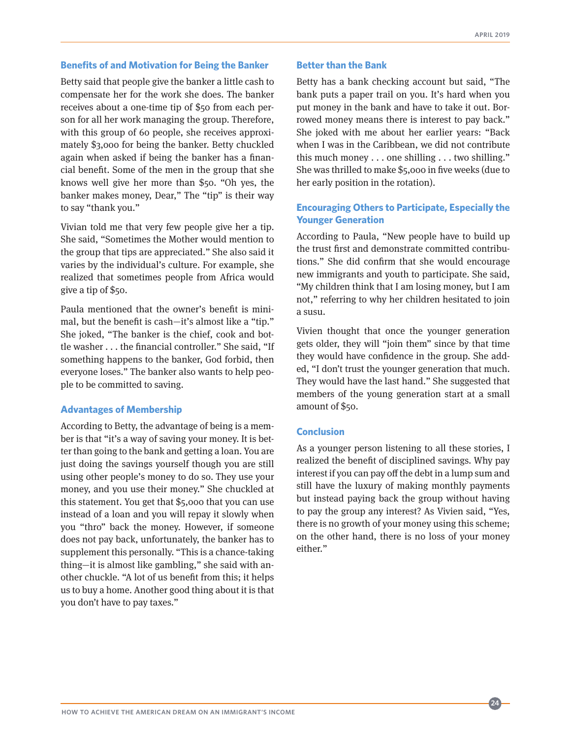#### **Benefits of and Motivation for Being the Banker**

Betty said that people give the banker a little cash to compensate her for the work she does. The banker receives about a one-time tip of \$50 from each person for all her work managing the group. Therefore, with this group of 60 people, she receives approximately \$3,000 for being the banker. Betty chuckled again when asked if being the banker has a financial benefit. Some of the men in the group that she knows well give her more than \$50. "Oh yes, the banker makes money, Dear," The "tip" is their way to say "thank you."

Vivian told me that very few people give her a tip. She said, "Sometimes the Mother would mention to the group that tips are appreciated." She also said it varies by the individual's culture. For example, she realized that sometimes people from Africa would give a tip of \$50.

Paula mentioned that the owner's benefit is minimal, but the benefit is cash—it's almost like a "tip." She joked, "The banker is the chief, cook and bottle washer . . . the financial controller." She said, "If something happens to the banker, God forbid, then everyone loses." The banker also wants to help people to be committed to saving.

#### **Advantages of Membership**

According to Betty, the advantage of being is a member is that "it's a way of saving your money. It is better than going to the bank and getting a loan. You are just doing the savings yourself though you are still using other people's money to do so. They use your money, and you use their money." She chuckled at this statement. You get that \$5,000 that you can use instead of a loan and you will repay it slowly when you "thro" back the money. However, if someone does not pay back, unfortunately, the banker has to supplement this personally. "This is a chance-taking thing—it is almost like gambling," she said with another chuckle. "A lot of us benefit from this; it helps us to buy a home. Another good thing about it is that you don't have to pay taxes."

#### **Better than the Bank**

Betty has a bank checking account but said, "The bank puts a paper trail on you. It's hard when you put money in the bank and have to take it out. Borrowed money means there is interest to pay back." She joked with me about her earlier years: "Back when I was in the Caribbean, we did not contribute this much money . . . one shilling . . . two shilling." She was thrilled to make \$5,000 in five weeks (due to her early position in the rotation).

## **Encouraging Others to Participate, Especially the Younger Generation**

According to Paula, "New people have to build up the trust first and demonstrate committed contributions." She did confirm that she would encourage new immigrants and youth to participate. She said, "My children think that I am losing money, but I am not," referring to why her children hesitated to join a susu.

Vivien thought that once the younger generation gets older, they will "join them" since by that time they would have confidence in the group. She added, "I don't trust the younger generation that much. They would have the last hand." She suggested that members of the young generation start at a small amount of \$50.

#### **Conclusion**

As a younger person listening to all these stories, I realized the benefit of disciplined savings. Why pay interest if you can pay off the debt in a lump sum and still have the luxury of making monthly payments but instead paying back the group without having to pay the group any interest? As Vivien said, "Yes, there is no growth of your money using this scheme; on the other hand, there is no loss of your money either."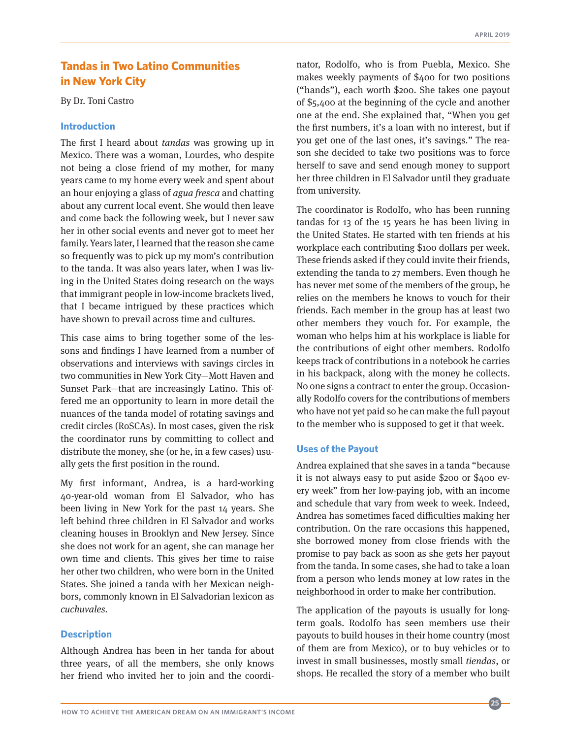# <span id="page-24-0"></span>**[Tandas in Two Latino Communities](#page-1-0)  [in New York City](#page-1-0)**

By Dr. Toni Castro

#### **Introduction**

The first I heard about *tandas* was growing up in Mexico. There was a woman, Lourdes, who despite not being a close friend of my mother, for many years came to my home every week and spent about an hour enjoying a glass of *agua fresca* and chatting about any current local event. She would then leave and come back the following week, but I never saw her in other social events and never got to meet her family. Years later, I learned that the reason she came so frequently was to pick up my mom's contribution to the tanda. It was also years later, when I was living in the United States doing research on the ways that immigrant people in low-income brackets lived, that I became intrigued by these practices which have shown to prevail across time and cultures.

This case aims to bring together some of the lessons and findings I have learned from a number of observations and interviews with savings circles in two communities in New York City—Mott Haven and Sunset Park—that are increasingly Latino. This offered me an opportunity to learn in more detail the nuances of the tanda model of rotating savings and credit circles (RoSCAs). In most cases, given the risk the coordinator runs by committing to collect and distribute the money, she (or he, in a few cases) usually gets the first position in the round.

My first informant, Andrea, is a hard-working 40-year-old woman from El Salvador, who has been living in New York for the past 14 years. She left behind three children in El Salvador and works cleaning houses in Brooklyn and New Jersey. Since she does not work for an agent, she can manage her own time and clients. This gives her time to raise her other two children, who were born in the United States. She joined a tanda with her Mexican neighbors, commonly known in El Salvadorian lexicon as *cuchuvales.*

#### **Description**

Although Andrea has been in her tanda for about three years, of all the members, she only knows her friend who invited her to join and the coordinator, Rodolfo, who is from Puebla, Mexico. She makes weekly payments of \$400 for two positions ("hands"), each worth \$200. She takes one payout of \$5,400 at the beginning of the cycle and another one at the end. She explained that, "When you get the first numbers, it's a loan with no interest, but if you get one of the last ones, it's savings." The reason she decided to take two positions was to force herself to save and send enough money to support her three children in El Salvador until they graduate from university.

The coordinator is Rodolfo, who has been running tandas for 13 of the 15 years he has been living in the United States. He started with ten friends at his workplace each contributing \$100 dollars per week. These friends asked if they could invite their friends, extending the tanda to 27 members. Even though he has never met some of the members of the group, he relies on the members he knows to vouch for their friends. Each member in the group has at least two other members they vouch for. For example, the woman who helps him at his workplace is liable for the contributions of eight other members. Rodolfo keeps track of contributions in a notebook he carries in his backpack, along with the money he collects. No one signs a contract to enter the group. Occasionally Rodolfo covers for the contributions of members who have not yet paid so he can make the full payout to the member who is supposed to get it that week.

#### **Uses of the Payout**

Andrea explained that she saves in a tanda "because it is not always easy to put aside \$200 or \$400 every week" from her low-paying job, with an income and schedule that vary from week to week. Indeed, Andrea has sometimes faced difficulties making her contribution. On the rare occasions this happened, she borrowed money from close friends with the promise to pay back as soon as she gets her payout from the tanda. In some cases, she had to take a loan from a person who lends money at low rates in the neighborhood in order to make her contribution.

The application of the payouts is usually for longterm goals. Rodolfo has seen members use their payouts to build houses in their home country (most of them are from Mexico), or to buy vehicles or to invest in small businesses, mostly small *tiendas*, or shops. He recalled the story of a member who built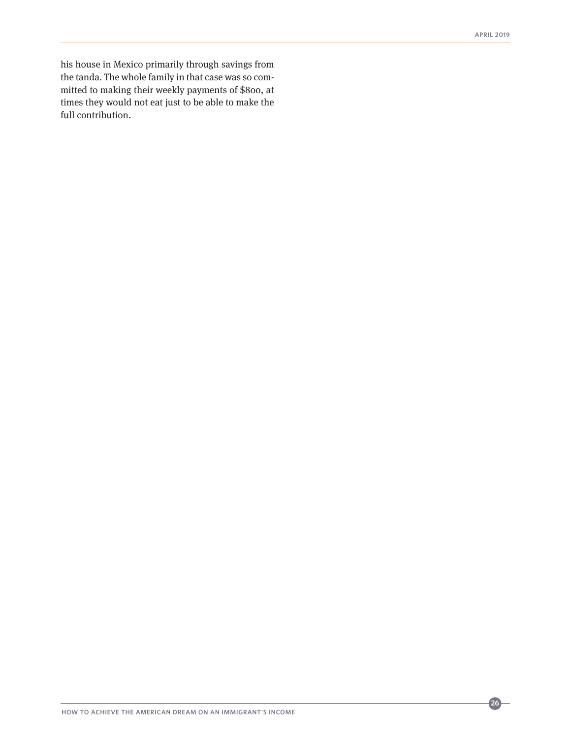his house in Mexico primarily through savings from the tanda. The whole family in that case was so committed to making their weekly payments of \$800, at times they would not eat just to be able to make the full contribution.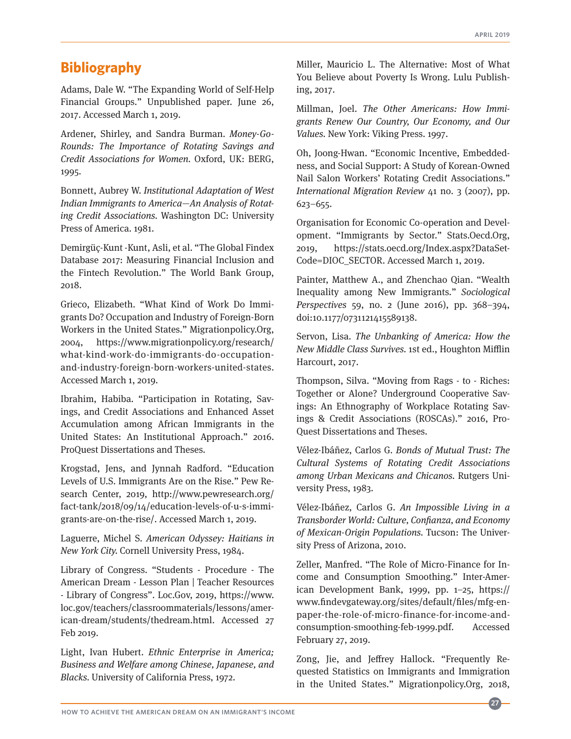# <span id="page-26-0"></span>**[Bibliography](#page-1-0)**

Adams, Dale W. "The Expanding World of Self-Help Financial Groups." Unpublished paper. June 26, 2017. Accessed March 1, 2019.

Ardener, Shirley, and Sandra Burman. *Money-Go-Rounds: The Importance of Rotating Savings and Credit Associations for Women.* Oxford, UK: BERG, 1995.

Bonnett, Aubrey W. *Institutional Adaptation of West Indian Immigrants to America—An Analysis of Rotating Credit Associations.* Washington DC: University Press of America. 1981.

Demirgüç-Kunt -Kunt, Asli, et al. "The Global Findex Database 2017: Measuring Financial Inclusion and the Fintech Revolution." The World Bank Group, 2018.

Grieco, Elizabeth. "What Kind of Work Do Immigrants Do? Occupation and Industry of Foreign-Born Workers in the United States." Migrationpolicy.Org, 2004, https://www.migrationpolicy.org/research/ what-kind-work-do-immigrants-do-occupationand-industry-foreign-born-workers-united-states. Accessed March 1, 2019.

Ibrahim, Habiba. "Participation in Rotating, Savings, and Credit Associations and Enhanced Asset Accumulation among African Immigrants in the United States: An Institutional Approach." 2016. ProQuest Dissertations and Theses.

Krogstad, Jens, and Jynnah Radford. "Education Levels of U.S. Immigrants Are on the Rise." Pew Research Center, 2019, http://www.pewresearch.org/ fact-tank/2018/09/14/education-levels-of-u-s-immigrants-are-on-the-rise/. Accessed March 1, 2019.

Laguerre, Michel S. *American Odyssey: Haitians in New York City.* Cornell University Press, 1984.

Library of Congress. "Students - Procedure - The American Dream - Lesson Plan | Teacher Resources - Library of Congress". Loc.Gov, 2019, https://www. loc.gov/teachers/classroommaterials/lessons/american-dream/students/thedream.html. Accessed 27 Feb 2019.

Light, Ivan Hubert. *Ethnic Enterprise in America; Business and Welfare among Chinese, Japanese, and Blacks.* University of California Press, 1972.

Miller, Mauricio L. The Alternative: Most of What You Believe about Poverty Is Wrong. Lulu Publishing, 2017.

Millman, Joel. *The Other Americans: How Immigrants Renew Our Country, Our Economy, and Our Values.* New York: Viking Press. 1997.

Oh, Joong-Hwan. "Economic Incentive, Embeddedness, and Social Support: A Study of Korean-Owned Nail Salon Workers' Rotating Credit Associations." *International Migration Review* 41 no. 3 (2007), pp. 623–655.

Organisation for Economic Co-operation and Development. "Immigrants by Sector." Stats.Oecd.Org, 2019, https://stats.oecd.org/Index.aspx?DataSet-Code=DIOC\_SECTOR. Accessed March 1, 2019.

Painter, Matthew A., and Zhenchao Qian. "Wealth Inequality among New Immigrants." *Sociological Perspectives* 59, no. 2 (June 2016), pp. 368–394, doi:10.1177/0731121415589138.

Servon, Lisa. *The Unbanking of America: How the New Middle Class Survives.* 1st ed., Houghton Mifflin Harcourt, 2017.

Thompson, Silva. "Moving from Rags - to - Riches: Together or Alone? Underground Cooperative Savings: An Ethnography of Workplace Rotating Savings & Credit Associations (ROSCAs)." 2016, Pro-Quest Dissertations and Theses.

Vélez-Ibáñez, Carlos G. *Bonds of Mutual Trust: The Cultural Systems of Rotating Credit Associations among Urban Mexicans and Chicanos.* Rutgers University Press, 1983.

Vélez-Ibáñez, Carlos G. *An Impossible Living in a Transborder World: Culture, Confianza, and Economy of Mexican-Origin Populations.* Tucson: The University Press of Arizona, 2010.

Zeller, Manfred. "The Role of Micro-Finance for Income and Consumption Smoothing." Inter-American Development Bank, 1999, pp. 1–25, https:// www.findevgateway.org/sites/default/files/mfg-enpaper-the-role-of-micro-finance-for-income-andconsumption-smoothing-feb-1999.pdf. Accessed February 27, 2019.

Zong, Jie, and Jeffrey Hallock. "Frequently Requested Statistics on Immigrants and Immigration in the United States." Migrationpolicy.Org, 2018,